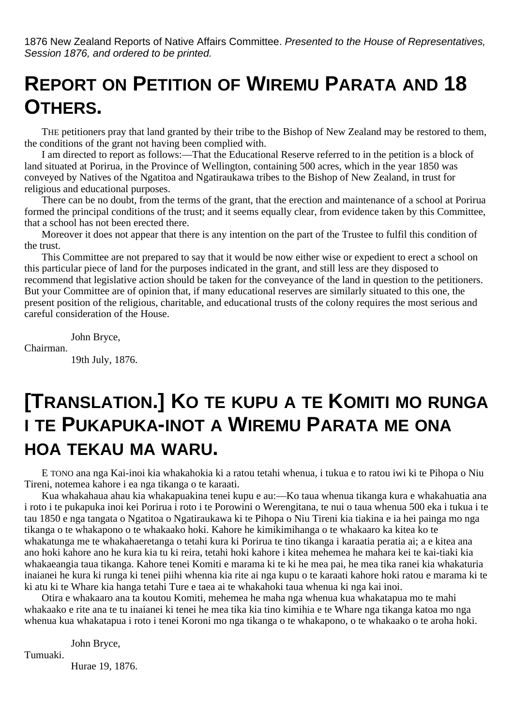1876 New Zealand Reports of Native Affairs Committee. Presented to the House of Representatives, Session 1876, and ordered to be printed.

## **REPORT ON PETITION OF WIREMU PARATA AND 18 OTHERS.**

THE petitioners pray that land granted by their tribe to the Bishop of New Zealand may be restored to them, the conditions of the grant not having been complied with.

I am directed to report as follows:—That the Educational Reserve referred to in the petition is a block of land situated at Porirua, in the Province of Wellington, containing 500 acres, which in the year 1850 was conveyed by Natives of the Ngatitoa and Ngatiraukawa tribes to the Bishop of New Zealand, in trust for religious and educational purposes.

There can be no doubt, from the terms of the grant, that the erection and maintenance of a school at Porirua formed the principal conditions of the trust; and it seems equally clear, from evidence taken by this Committee, that a school has not been erected there.

Moreover it does not appear that there is any intention on the part of the Trustee to fulfil this condition of the trust.

This Committee are not prepared to say that it would be now either wise or expedient to erect a school on this particular piece of land for the purposes indicated in the grant, and still less are they disposed to recommend that legislative action should be taken for the conveyance of the land in question to the petitioners. But your Committee are of opinion that, if many educational reserves are similarly situated to this one, the present position of the religious, charitable, and educational trusts of the colony requires the most serious and careful consideration of the House.

John Bryce,

Chairman.

19th July, 1876.

## **[TRANSLATION.] KO TE KUPU A TE KOMITI MO RUNGA I TE PUKAPUKA-INOT A WIREMU PARATA ME ONA HOA TEKAU MA WARU.**

E TONO ana nga Kai-inoi kia whakahokia ki a ratou tetahi whenua, i tukua e to ratou iwi ki te Pihopa o Niu Tireni, notemea kahore i ea nga tikanga o te karaati.

Kua whakahaua ahau kia whakapuakina tenei kupu e au:—Ko taua whenua tikanga kura e whakahuatia ana i roto i te pukapuka inoi kei Porirua i roto i te Porowini o Werengitana, te nui o taua whenua 500 eka i tukua i te tau 1850 e nga tangata o Ngatitoa o Ngatiraukawa ki te Pihopa o Niu Tireni kia tiakina e ia hei painga mo nga tikanga o te whakapono o te whakaako hoki. Kahore he kimikimihanga o te whakaaro ka kitea ko te whakatunga me te whakahaeretanga o tetahi kura ki Porirua te tino tikanga i karaatia peratia ai; a e kitea ana ano hoki kahore ano he kura kia tu ki reira, tetahi hoki kahore i kitea mehemea he mahara kei te kai-tiaki kia whakaeangia taua tikanga. Kahore tenei Komiti e marama ki te ki he mea pai, he mea tika ranei kia whakaturia inaianei he kura ki runga ki tenei piihi whenna kia rite ai nga kupu o te karaati kahore hoki ratou e marama ki te ki atu ki te Whare kia hanga tetahi Ture e taea ai te whakahoki taua whenua ki nga kai inoi.

Otira e whakaaro ana ta koutou Komiti, mehemea he maha nga whenua kua whakatapua mo te mahi whakaako e rite ana te tu inaianei ki tenei he mea tika kia tino kimihia e te Whare nga tikanga katoa mo nga whenua kua whakatapua i roto i tenei Koroni mo nga tikanga o te whakapono, o te whakaako o te aroha hoki.

John Bryce,

Tumuaki.

Hurae 19, 1876.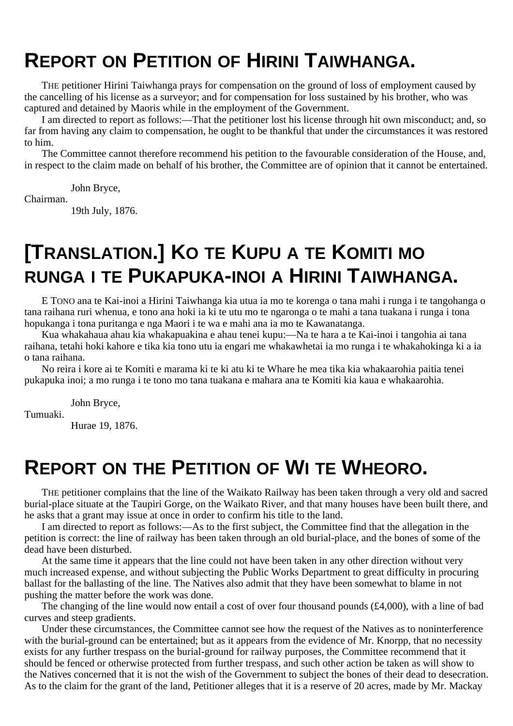#### **REPORT ON PETITION OF HIRINI TAIWHANGA.**

THE petitioner Hirini Taiwhanga prays for compensation on the ground of loss of employment caused by the cancelling of his license as a surveyor; and for compensation for loss sustained by his brother, who was captured and detained by Maoris while in the employment of the Government.

I am directed to report as follows:—That the petitioner lost his license through hit own misconduct; and, so far from having any claim to compensation, he ought to be thankful that under the circumstances it was restored to him.

The Committee cannot therefore recommend his petition to the favourable consideration of the House, and, in respect to the claim made on behalf of his brother, the Committee are of opinion that it cannot be entertained.

John Bryce, Chairman.

19th July, 1876.

## **[TRANSLATION.] KO TE KUPU A TE KOMITI MO RUNGA I TE PUKAPUKA-INOI A HIRINI TAIWHANGA.**

E TONO ana te Kai-inoi a Hirini Taiwhanga kia utua ia mo te korenga o tana mahi i runga i te tangohanga o tana raihana ruri whenua, e tono ana hoki ia ki te utu mo te ngaronga o te mahi a tana tuakana i runga i tona hopukanga i tona puritanga e nga Maori i te wa e mahi ana ia mo te Kawanatanga.

Kua whakahaua ahau kia whakapuakina e ahau tenei kupu:—Na te hara a te Kai-inoi i tangohia ai tana raihana, tetahi hoki kahore e tika kia tono utu ia engari me whakawhetai ia mo runga i te whakahokinga ki a ia o tana raihana.

No reira i kore ai te Komiti e marama ki te ki atu ki te Whare he mea tika kia whakaarohia paitia tenei pukapuka inoi; a mo runga i te tono mo tana tuakana e mahara ana te Komiti kia kaua e whakaarohia.

John Bryce,

Tumuaki.

Hurae 19, 1876.

#### **REPORT ON THE PETITION OF WI TE WHEORO.**

THE petitioner complains that the line of the Waikato Railway has been taken through a very old and sacred burial-place situate at the Taupiri Gorge, on the Waikato River, and that many houses have been built there, and he asks that a grant may issue at once in order to confirm his title to the land.

I am directed to report as follows:—As to the first subject, the Committee find that the allegation in the petition is correct: the line of railway has been taken through an old burial-place, and the bones of some of the dead have been disturbed.

At the same time it appears that the line could not have been taken in any other direction without very much increased expense, and without subjecting the Public Works Department to great difficulty in procuring ballast for the ballasting of the line. The Natives also admit that they have been somewhat to blame in not pushing the matter before the work was done.

The changing of the line would now entail a cost of over four thousand pounds (£4,000), with a line of bad curves and steep gradients.

Under these circumstances, the Committee cannot see how the request of the Natives as to noninterference with the burial-ground can be entertained; but as it appears from the evidence of Mr. Knorpp, that no necessity exists for any further trespass on the burial-ground for railway purposes, the Committee recommend that it should be fenced or otherwise protected from further trespass, and such other action be taken as will show to the Natives concerned that it is not the wish of the Government to subject the bones of their dead to desecration. As to the claim for the grant of the land, Petitioner alleges that it is a reserve of 20 acres, made by Mr. Mackay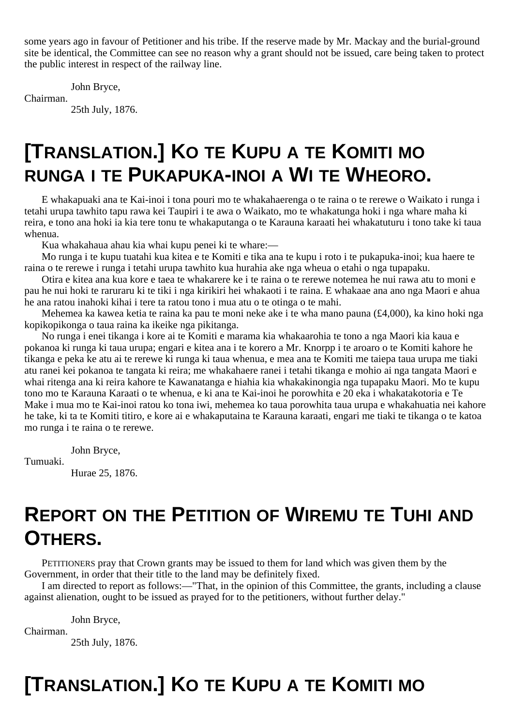some years ago in favour of Petitioner and his tribe. If the reserve made by Mr. Mackay and the burial-ground site be identical, the Committee can see no reason why a grant should not be issued, care being taken to protect the public interest in respect of the railway line.

John Bryce,

Chairman.

25th July, 1876.

#### **[TRANSLATION.] KO TE KUPU A TE KOMITI MO RUNGA I TE PUKAPUKA-INOI A WI TE WHEORO.**

E whakapuaki ana te Kai-inoi i tona pouri mo te whakahaerenga o te raina o te rerewe o Waikato i runga i tetahi urupa tawhito tapu rawa kei Taupiri i te awa o Waikato, mo te whakatunga hoki i nga whare maha ki reira, e tono ana hoki ia kia tere tonu te whakaputanga o te Karauna karaati hei whakatuturu i tono take ki taua whenua.

Kua whakahaua ahau kia whai kupu penei ki te whare:—

Mo runga i te kupu tuatahi kua kitea e te Komiti e tika ana te kupu i roto i te pukapuka-inoi; kua haere te raina o te rerewe i runga i tetahi urupa tawhito kua hurahia ake nga wheua o etahi o nga tupapaku.

Otira e kitea ana kua kore e taea te whakarere ke i te raina o te rerewe notemea he nui rawa atu to moni e pau he nui hoki te raruraru ki te tiki i nga kirikiri hei whakaoti i te raina. E whakaae ana ano nga Maori e ahua he ana ratou inahoki kihai i tere ta ratou tono i mua atu o te otinga o te mahi.

Mehemea ka kawea ketia te raina ka pau te moni neke ake i te wha mano pauna (£4,000), ka kino hoki nga kopikopikonga o taua raina ka ikeike nga pikitanga.

No runga i enei tikanga i kore ai te Komiti e marama kia whakaarohia te tono a nga Maori kia kaua e pokanoa ki runga ki taua urupa; engari e kitea ana i te korero a Mr. Knorpp i te aroaro o te Komiti kahore he tikanga e peka ke atu ai te rerewe ki runga ki taua whenua, e mea ana te Komiti me taiepa taua urupa me tiaki atu ranei kei pokanoa te tangata ki reira; me whakahaere ranei i tetahi tikanga e mohio ai nga tangata Maori e whai ritenga ana ki reira kahore te Kawanatanga e hiahia kia whakakinongia nga tupapaku Maori. Mo te kupu tono mo te Karauna Karaati o te whenua, e ki ana te Kai-inoi he porowhita e 20 eka i whakatakotoria e Te Make i mua mo te Kai-inoi ratou ko tona iwi, mehemea ko taua porowhita taua urupa e whakahuatia nei kahore he take, ki ta te Komiti titiro, e kore ai e whakaputaina te Karauna karaati, engari me tiaki te tikanga o te katoa mo runga i te raina o te rerewe.

John Bryce,

Tumuaki.

Hurae 25, 1876.

# **REPORT ON THE PETITION OF WIREMU TE TUHI AND OTHERS.**

PETITIONERS pray that Crown grants may be issued to them for land which was given them by the Government, in order that their title to the land may be definitely fixed.

I am directed to report as follows:—"That, in the opinion of this Committee, the grants, including a clause against alienation, ought to be issued as prayed for to the petitioners, without further delay."

John Bryce,

Chairman.

25th July, 1876.

# **[TRANSLATION.] KO TE KUPU A TE KOMITI MO**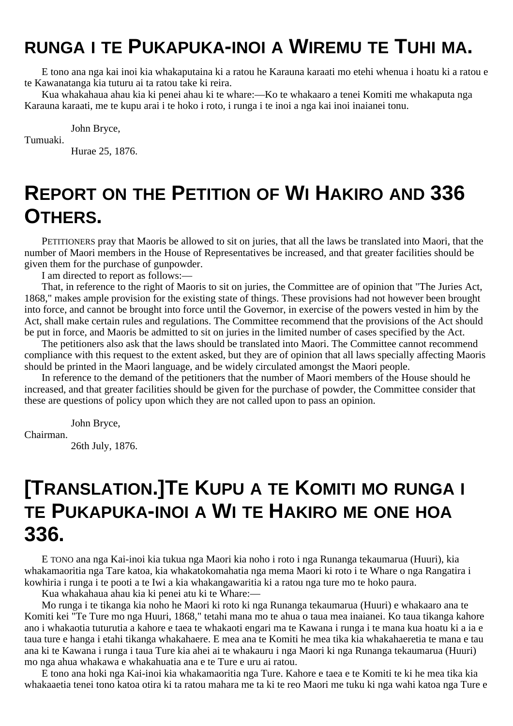#### **RUNGA I TE PUKAPUKA-INOI A WIREMU TE TUHI MA.**

E tono ana nga kai inoi kia whakaputaina ki a ratou he Karauna karaati mo etehi whenua i hoatu ki a ratou e te Kawanatanga kia tuturu ai ta ratou take ki reira.

Kua whakahaua ahau kia ki penei ahau ki te whare:—Ko te whakaaro a tenei Komiti me whakaputa nga Karauna karaati, me te kupu arai i te hoko i roto, i runga i te inoi a nga kai inoi inaianei tonu.

John Bryce,

Tumuaki.

Hurae 25, 1876.

#### **REPORT ON THE PETITION OF WI HAKIRO AND 336 OTHERS.**

PETITIONERS pray that Maoris be allowed to sit on juries, that all the laws be translated into Maori, that the number of Maori members in the House of Representatives be increased, and that greater facilities should be given them for the purchase of gunpowder.

I am directed to report as follows:—

That, in reference to the right of Maoris to sit on juries, the Committee are of opinion that "The Juries Act, 1868," makes ample provision for the existing state of things. These provisions had not however been brought into force, and cannot be brought into force until the Governor, in exercise of the powers vested in him by the Act, shall make certain rules and regulations. The Committee recommend that the provisions of the Act should be put in force, and Maoris be admitted to sit on juries in the limited number of cases specified by the Act.

The petitioners also ask that the laws should be translated into Maori. The Committee cannot recommend compliance with this request to the extent asked, but they are of opinion that all laws specially affecting Maoris should be printed in the Maori language, and be widely circulated amongst the Maori people.

In reference to the demand of the petitioners that the number of Maori members of the House should he increased, and that greater facilities should be given for the purchase of powder, the Committee consider that these are questions of policy upon which they are not called upon to pass an opinion.

John Bryce,

Chairman.

26th July, 1876.

#### **[TRANSLATION.]TE KUPU A TE KOMITI MO RUNGA I TE PUKAPUKA-INOI A WI TE HAKIRO ME ONE HOA 336.**

E TONO ana nga Kai-inoi kia tukua nga Maori kia noho i roto i nga Runanga tekaumarua (Huuri), kia whakamaoritia nga Tare katoa, kia whakatokomahatia nga mema Maori ki roto i te Whare o nga Rangatira i kowhiria i runga i te pooti a te Iwi a kia whakangawaritia ki a ratou nga ture mo te hoko paura.

Kua whakahaua ahau kia ki penei atu ki te Whare:—

Mo runga i te tikanga kia noho he Maori ki roto ki nga Runanga tekaumarua (Huuri) e whakaaro ana te Komiti kei "Te Ture mo nga Huuri, 1868," tetahi mana mo te ahua o taua mea inaianei. Ko taua tikanga kahore ano i whakaotia tuturutia a kahore e taea te whakaoti engari ma te Kawana i runga i te mana kua hoatu ki a ia e taua ture e hanga i etahi tikanga whakahaere. E mea ana te Komiti he mea tika kia whakahaeretia te mana e tau ana ki te Kawana i runga i taua Ture kia ahei ai te whakauru i nga Maori ki nga Runanga tekaumarua (Huuri) mo nga ahua whakawa e whakahuatia ana e te Ture e uru ai ratou.

E tono ana hoki nga Kai-inoi kia whakamaoritia nga Ture. Kahore e taea e te Komiti te ki he mea tika kia whakaaetia tenei tono katoa otira ki ta ratou mahara me ta ki te reo Maori me tuku ki nga wahi katoa nga Ture e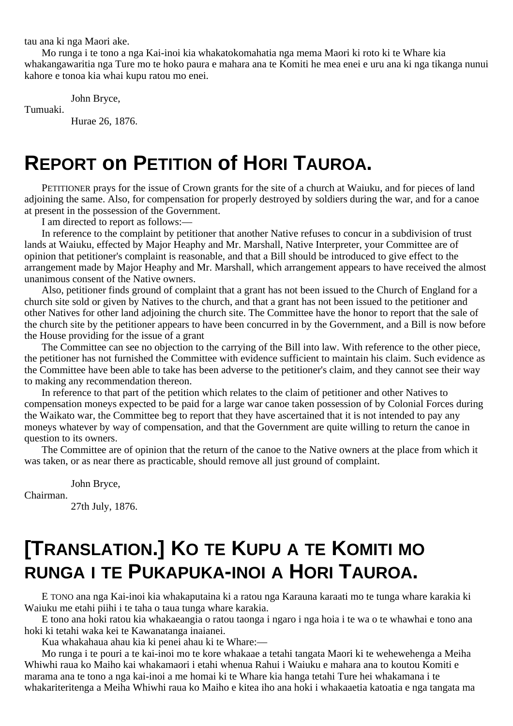tau ana ki nga Maori ake.

Mo runga i te tono a nga Kai-inoi kia whakatokomahatia nga mema Maori ki roto ki te Whare kia whakangawaritia nga Ture mo te hoko paura e mahara ana te Komiti he mea enei e uru ana ki nga tikanga nunui kahore e tonoa kia whai kupu ratou mo enei.

John Bryce,

Tumuaki.

Hurae 26, 1876.

#### **REPORT on PETITION of HORI TAUROA.**

PETITIONER prays for the issue of Crown grants for the site of a church at Waiuku, and for pieces of land adjoining the same. Also, for compensation for properly destroyed by soldiers during the war, and for a canoe at present in the possession of the Government.

I am directed to report as follows:—

In reference to the complaint by petitioner that another Native refuses to concur in a subdivision of trust lands at Waiuku, effected by Major Heaphy and Mr. Marshall, Native Interpreter, your Committee are of opinion that petitioner's complaint is reasonable, and that a Bill should be introduced to give effect to the arrangement made by Major Heaphy and Mr. Marshall, which arrangement appears to have received the almost unanimous consent of the Native owners.

Also, petitioner finds ground of complaint that a grant has not been issued to the Church of England for a church site sold or given by Natives to the church, and that a grant has not been issued to the petitioner and other Natives for other land adjoining the church site. The Committee have the honor to report that the sale of the church site by the petitioner appears to have been concurred in by the Government, and a Bill is now before the House providing for the issue of a grant

The Committee can see no objection to the carrying of the Bill into law. With reference to the other piece, the petitioner has not furnished the Committee with evidence sufficient to maintain his claim. Such evidence as the Committee have been able to take has been adverse to the petitioner's claim, and they cannot see their way to making any recommendation thereon.

In reference to that part of the petition which relates to the claim of petitioner and other Natives to compensation moneys expected to be paid for a large war canoe taken possession of by Colonial Forces during the Waikato war, the Committee beg to report that they have ascertained that it is not intended to pay any moneys whatever by way of compensation, and that the Government are quite willing to return the canoe in question to its owners.

The Committee are of opinion that the return of the canoe to the Native owners at the place from which it was taken, or as near there as practicable, should remove all just ground of complaint.

John Bryce, Chairman.

27th July, 1876.

## **[TRANSLATION.] KO TE KUPU A TE KOMITI MO RUNGA I TE PUKAPUKA-INOI A HORI TAUROA.**

E TONO ana nga Kai-inoi kia whakaputaina ki a ratou nga Karauna karaati mo te tunga whare karakia ki Waiuku me etahi piihi i te taha o taua tunga whare karakia.

E tono ana hoki ratou kia whakaeangia o ratou taonga i ngaro i nga hoia i te wa o te whawhai e tono ana hoki ki tetahi waka kei te Kawanatanga inaianei.

Kua whakahaua ahau kia ki penei ahau ki te Whare:—

Mo runga i te pouri a te kai-inoi mo te kore whakaae a tetahi tangata Maori ki te wehewehenga a Meiha Whiwhi raua ko Maiho kai whakamaori i etahi whenua Rahui i Waiuku e mahara ana to koutou Komiti e marama ana te tono a nga kai-inoi a me homai ki te Whare kia hanga tetahi Ture hei whakamana i te whakariteritenga a Meiha Whiwhi raua ko Maiho e kitea iho ana hoki i whakaaetia katoatia e nga tangata ma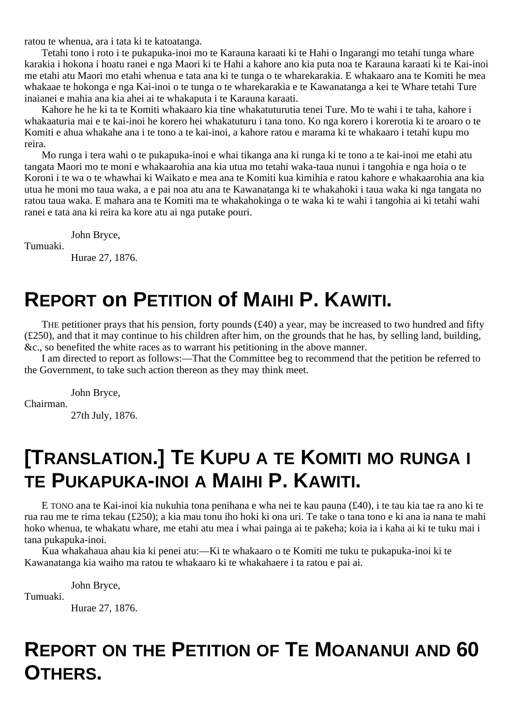ratou te whenua, ara i tata ki te katoatanga.

Tetahi tono i roto i te pukapuka-inoi mo te Karauna karaati ki te Hahi o Ingarangi mo tetahi tunga whare karakia i hokona i hoatu ranei e nga Maori ki te Hahi a kahore ano kia puta noa te Karauna karaati ki te Kai-inoi me etahi atu Maori mo etahi whenua e tata ana ki te tunga o te wharekarakia. E whakaaro ana te Komiti he mea whakaae te hokonga e nga Kai-inoi o te tunga o te wharekarakia e te Kawanatanga a kei te Whare tetahi Ture inaianei e mahia ana kia ahei ai te whakaputa i te Karauna karaati.

Kahore he he ki ta te Komiti whakaaro kia tine whakatuturutia tenei Ture. Mo te wahi i te taha, kahore i whakaaturia mai e te kai-inoi he korero hei whakatuturu i tana tono. Ko nga korero i korerotia ki te aroaro o te Komiti e ahua whakahe ana i te tono a te kai-inoi, a kahore ratou e marama ki te whakaaro i tetahi kupu mo reira.

Mo runga i tera wahi o te pukapuka-inoi e whai tikanga ana ki runga ki te tono a te kai-inoi me etahi atu tangata Maori mo te moni e whakaarohia ana kia utua mo tetahi waka-taua nunui i tangohia e nga hoia o te Koroni i te wa o te whawhai ki Waikato e mea ana te Komiti kua kimihia e ratou kahore e whakaarohia ana kia utua he moni mo taua waka, a e pai noa atu ana te Kawanatanga ki te whakahoki i taua waka ki nga tangata no ratou taua waka. E mahara ana te Komiti ma te whakahokinga o te waka ki te wahi i tangohia ai ki tetahi wahi ranei e tata ana ki reira ka kore atu ai nga putake pouri.

John Bryce,

Tumuaki.

Hurae 27, 1876.

#### **REPORT on PETITION of MAIHI P. KAWITI.**

THE petitioner prays that his pension, forty pounds (£40) a year, may be increased to two hundred and fifty (£250), and that it may continue to his children after him, on the grounds that he has, by selling land, building, &c., so benefited the white races as to warrant his petitioning in the above manner.

I am directed to report as follows:—That the Committee beg to recommend that the petition be referred to the Government, to take such action thereon as they may think meet.

John Bryce,

Chairman.

27th July, 1876.

## **[TRANSLATION.] TE KUPU A TE KOMITI MO RUNGA I TE PUKAPUKA-INOI A MAIHI P. KAWITI.**

E TONO ana te Kai-inoi kia nukuhia tona penihana e wha nei te kau pauna (£40), i te tau kia tae ra ano ki te rua rau me te rima tekau (£250); a kia mau tonu iho hoki ki ona uri. Te take o tana tono e ki ana ia nana te mahi hoko whenua, te whakatu whare, me etahi atu mea i whai painga ai te pakeha; koia ia i kaha ai ki te tuku mai i tana pukapuka-inoi.

Kua whakahaua ahau kia ki penei atu:—Ki te whakaaro o te Komiti me tuku te pukapuka-inoi ki te Kawanatanga kia waiho ma ratou te whakaaro ki te whakahaere i ta ratou e pai ai.

John Bryce,

Tumuaki.

Hurae 27, 1876.

#### **REPORT ON THE PETITION OF TE MOANANUI AND 60 OTHERS.**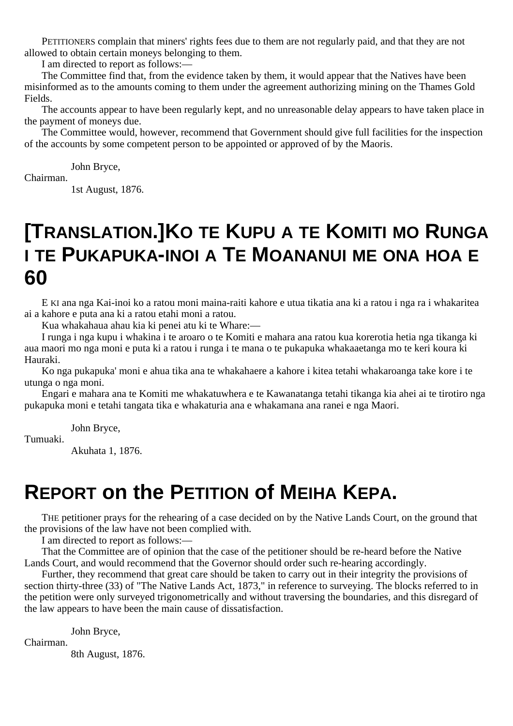PETITIONERS complain that miners' rights fees due to them are not regularly paid, and that they are not allowed to obtain certain moneys belonging to them.

I am directed to report as follows:—

The Committee find that, from the evidence taken by them, it would appear that the Natives have been misinformed as to the amounts coming to them under the agreement authorizing mining on the Thames Gold Fields.

The accounts appear to have been regularly kept, and no unreasonable delay appears to have taken place in the payment of moneys due.

The Committee would, however, recommend that Government should give full facilities for the inspection of the accounts by some competent person to be appointed or approved of by the Maoris.

John Bryce,

Chairman.

1st August, 1876.

#### **[TRANSLATION.]KO TE KUPU A TE KOMITI MO RUNGA I TE PUKAPUKA-INOI A TE MOANANUI ME ONA HOA E 60**

E KI ana nga Kai-inoi ko a ratou moni maina-raiti kahore e utua tikatia ana ki a ratou i nga ra i whakaritea ai a kahore e puta ana ki a ratou etahi moni a ratou.

Kua whakahaua ahau kia ki penei atu ki te Whare:—

I runga i nga kupu i whakina i te aroaro o te Komiti e mahara ana ratou kua korerotia hetia nga tikanga ki aua maori mo nga moni e puta ki a ratou i runga i te mana o te pukapuka whakaaetanga mo te keri koura ki Hauraki.

Ko nga pukapuka' moni e ahua tika ana te whakahaere a kahore i kitea tetahi whakaroanga take kore i te utunga o nga moni.

Engari e mahara ana te Komiti me whakatuwhera e te Kawanatanga tetahi tikanga kia ahei ai te tirotiro nga pukapuka moni e tetahi tangata tika e whakaturia ana e whakamana ana ranei e nga Maori.

John Bryce,

Tumuaki.

Akuhata 1, 1876.

## **REPORT on the PETITION of MEIHA KEPA.**

THE petitioner prays for the rehearing of a case decided on by the Native Lands Court, on the ground that the provisions of the law have not been complied with.

I am directed to report as follows:—

That the Committee are of opinion that the case of the petitioner should be re-heard before the Native Lands Court, and would recommend that the Governor should order such re-hearing accordingly.

Further, they recommend that great care should be taken to carry out in their integrity the provisions of section thirty-three (33) of "The Native Lands Act, 1873," in reference to surveying. The blocks referred to in the petition were only surveyed trigonometrically and without traversing the boundaries, and this disregard of the law appears to have been the main cause of dissatisfaction.

John Bryce,

Chairman.

8th August, 1876.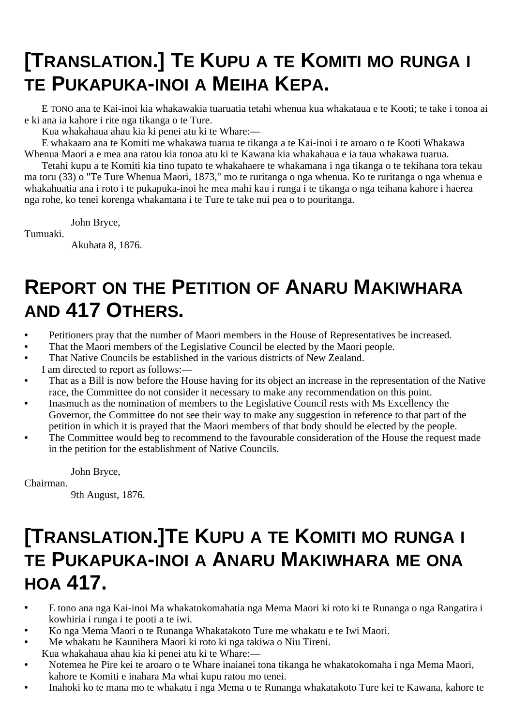# **[TRANSLATION.] TE KUPU A TE KOMITI MO RUNGA I TE PUKAPUKA-INOI A MEIHA KEPA.**

E TONO ana te Kai-inoi kia whakawakia tuaruatia tetahi whenua kua whakataua e te Kooti; te take i tonoa ai e ki ana ia kahore i rite nga tikanga o te Ture.

Kua whakahaua ahau kia ki penei atu ki te Whare:—

E whakaaro ana te Komiti me whakawa tuarua te tikanga a te Kai-inoi i te aroaro o te Kooti Whakawa Whenua Maori a e mea ana ratou kia tonoa atu ki te Kawana kia whakahaua e ia taua whakawa tuarua.

Tetahi kupu a te Komiti kia tino tupato te whakahaere te whakamana i nga tikanga o te tekihana tora tekau ma toru (33) o "Te Ture Whenua Maori, 1873," mo te ruritanga o nga whenua. Ko te ruritanga o nga whenua e whakahuatia ana i roto i te pukapuka-inoi he mea mahi kau i runga i te tikanga o nga teihana kahore i haerea nga rohe, ko tenei korenga whakamana i te Ture te take nui pea o to pouritanga.

John Bryce,

Tumuaki.

Akuhata 8, 1876.

# **REPORT ON THE PETITION OF ANARU MAKIWHARA AND 417 OTHERS.**

- Petitioners pray that the number of Maori members in the House of Representatives be increased.
- **•** That the Maori members of the Legislative Council be elected by the Maori people.
- **•** That Native Councils be established in the various districts of New Zealand.
- I am directed to report as follows:—
- **•** That as a Bill is now before the House having for its object an increase in the representation of the Native race, the Committee do not consider it necessary to make any recommendation on this point.
- **•** Inasmuch as the nomination of members to the Legislative Council rests with Ms Excellency the Governor, the Committee do not see their way to make any suggestion in reference to that part of the petition in which it is prayed that the Maori members of that body should be elected by the people.
- The Committee would beg to recommend to the favourable consideration of the House the request made in the petition for the establishment of Native Councils.

John Bryce,

Chairman.

9th August, 1876.

# **[TRANSLATION.]TE KUPU A TE KOMITI MO RUNGA I TE PUKAPUKA-INOI A ANARU MAKIWHARA ME ONA HOA 417.**

- **•** E tono ana nga Kai-inoi Ma whakatokomahatia nga Mema Maori ki roto ki te Runanga o nga Rangatira i kowhiria i runga i te pooti a te iwi.
- **•** Ko nga Mema Maori o te Runanga Whakatakoto Ture me whakatu e te Iwi Maori.
- **•** Me whakatu he Kaunihera Maori ki roto ki nga takiwa o Niu Tireni. Kua whakahaua ahau kia ki penei atu ki te Whare:—
- **•** Notemea he Pire kei te aroaro o te Whare inaianei tona tikanga he whakatokomaha i nga Mema Maori, kahore te Komiti e inahara Ma whai kupu ratou mo tenei.
- **•** Inahoki ko te mana mo te whakatu i nga Mema o te Runanga whakatakoto Ture kei te Kawana, kahore te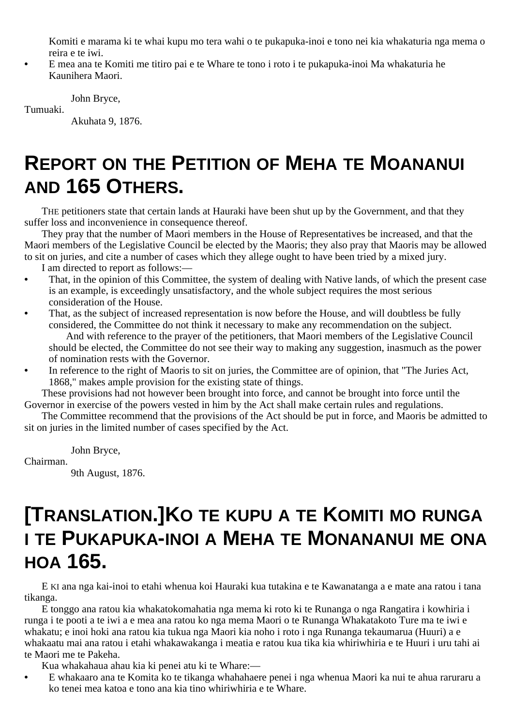Komiti e marama ki te whai kupu mo tera wahi o te pukapuka-inoi e tono nei kia whakaturia nga mema o reira e te iwi.

**•** E mea ana te Komiti me titiro pai e te Whare te tono i roto i te pukapuka-inoi Ma whakaturia he Kaunihera Maori.

John Bryce,

Tumuaki.

Akuhata 9, 1876.

# **REPORT ON THE PETITION OF MEHA TE MOANANUI AND 165 OTHERS.**

THE petitioners state that certain lands at Hauraki have been shut up by the Government, and that they suffer loss and inconvenience in consequence thereof.

They pray that the number of Maori members in the House of Representatives be increased, and that the Maori members of the Legislative Council be elected by the Maoris; they also pray that Maoris may be allowed to sit on juries, and cite a number of cases which they allege ought to have been tried by a mixed jury.

I am directed to report as follows:—

- That, in the opinion of this Committee, the system of dealing with Native lands, of which the present case is an example, is exceedingly unsatisfactory, and the whole subject requires the most serious consideration of the House.
- **•** That, as the subject of increased representation is now before the House, and will doubtless be fully considered, the Committee do not think it necessary to make any recommendation on the subject. And with reference to the prayer of the petitioners, that Maori members of the Legislative Council should be elected, the Committee do not see their way to making any suggestion, inasmuch as the power of nomination rests with the Governor.
- **•** In reference to the right of Maoris to sit on juries, the Committee are of opinion, that "The Juries Act, 1868," makes ample provision for the existing state of things.

These provisions had not however been brought into force, and cannot be brought into force until the Governor in exercise of the powers vested in him by the Act shall make certain rules and regulations.

The Committee recommend that the provisions of the Act should be put in force, and Maoris be admitted to sit on juries in the limited number of cases specified by the Act.

John Bryce,

Chairman.

9th August, 1876.

#### **[TRANSLATION.]KO TE KUPU A TE KOMITI MO RUNGA I TE PUKAPUKA-INOI A MEHA TE MONANANUI ME ONA HOA 165.**

E KI ana nga kai-inoi to etahi whenua koi Hauraki kua tutakina e te Kawanatanga a e mate ana ratou i tana tikanga.

E tonggo ana ratou kia whakatokomahatia nga mema ki roto ki te Runanga o nga Rangatira i kowhiria i runga i te pooti a te iwi a e mea ana ratou ko nga mema Maori o te Runanga Whakatakoto Ture ma te iwi e whakatu; e inoi hoki ana ratou kia tukua nga Maori kia noho i roto i nga Runanga tekaumarua (Huuri) a e whakaatu mai ana ratou i etahi whakawakanga i meatia e ratou kua tika kia whiriwhiria e te Huuri i uru tahi ai te Maori me te Pakeha.

Kua whakahaua ahau kia ki penei atu ki te Whare:—

**•** E whakaaro ana te Komita ko te tikanga whahahaere penei i nga whenua Maori ka nui te ahua raruraru a ko tenei mea katoa e tono ana kia tino whiriwhiria e te Whare.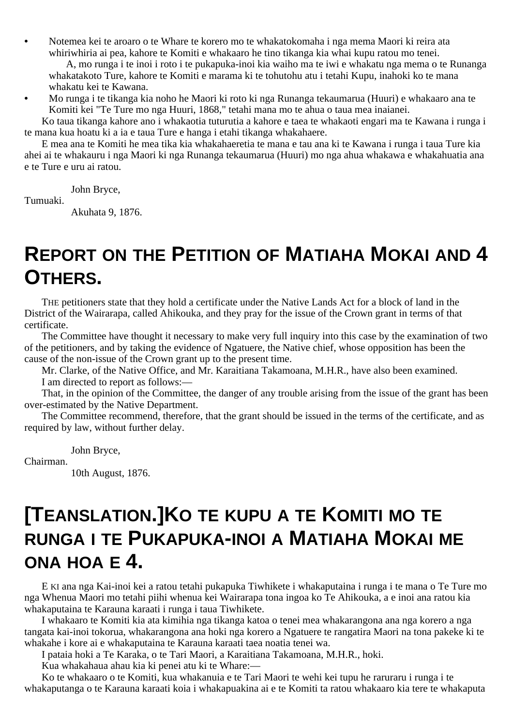**•** Notemea kei te aroaro o te Whare te korero mo te whakatokomaha i nga mema Maori ki reira ata whiriwhiria ai pea, kahore te Komiti e whakaaro he tino tikanga kia whai kupu ratou mo tenei.

A, mo runga i te inoi i roto i te pukapuka-inoi kia waiho ma te iwi e whakatu nga mema o te Runanga whakatakoto Ture, kahore te Komiti e marama ki te tohutohu atu i tetahi Kupu, inahoki ko te mana whakatu kei te Kawana.

**•** Mo runga i te tikanga kia noho he Maori ki roto ki nga Runanga tekaumarua (Huuri) e whakaaro ana te Komiti kei "Te Ture mo nga Huuri, 1868," tetahi mana mo te ahua o taua mea inaianei.

Ko taua tikanga kahore ano i whakaotia tuturutia a kahore e taea te whakaoti engari ma te Kawana i runga i te mana kua hoatu ki a ia e taua Ture e hanga i etahi tikanga whakahaere.

E mea ana te Komiti he mea tika kia whakahaeretia te mana e tau ana ki te Kawana i runga i taua Ture kia ahei ai te whakauru i nga Maori ki nga Runanga tekaumarua (Huuri) mo nga ahua whakawa e whakahuatia ana e te Ture e uru ai ratou.

John Bryce,

Tumuaki.

Akuhata 9, 1876.

#### **REPORT ON THE PETITION OF MATIAHA MOKAI AND 4 OTHERS.**

THE petitioners state that they hold a certificate under the Native Lands Act for a block of land in the District of the Wairarapa, called Ahikouka, and they pray for the issue of the Crown grant in terms of that certificate.

The Committee have thought it necessary to make very full inquiry into this case by the examination of two of the petitioners, and by taking the evidence of Ngatuere, the Native chief, whose opposition has been the cause of the non-issue of the Crown grant up to the present time.

Mr. Clarke, of the Native Office, and Mr. Karaitiana Takamoana, M.H.R., have also been examined.

I am directed to report as follows:—

That, in the opinion of the Committee, the danger of any trouble arising from the issue of the grant has been over-estimated by the Native Department.

The Committee recommend, therefore, that the grant should be issued in the terms of the certificate, and as required by law, without further delay.

John Bryce,

Chairman.

10th August, 1876.

#### **[TEANSLATION.]KO TE KUPU A TE KOMITI MO TE RUNGA I TE PUKAPUKA-INOI A MATIAHA MOKAI ME ONA HOA E 4.**

E KI ana nga Kai-inoi kei a ratou tetahi pukapuka Tiwhikete i whakaputaina i runga i te mana o Te Ture mo nga Whenua Maori mo tetahi piihi whenua kei Wairarapa tona ingoa ko Te Ahikouka, a e inoi ana ratou kia whakaputaina te Karauna karaati i runga i taua Tiwhikete.

I whakaaro te Komiti kia ata kimihia nga tikanga katoa o tenei mea whakarangona ana nga korero a nga tangata kai-inoi tokorua, whakarangona ana hoki nga korero a Ngatuere te rangatira Maori na tona pakeke ki te whakahe i kore ai e whakaputaina te Karauna karaati taea noatia tenei wa.

I pataia hoki a Te Karaka, o te Tari Maori, a Karaitiana Takamoana, M.H.R., hoki.

Kua whakahaua ahau kia ki penei atu ki te Whare:—

Ko te whakaaro o te Komiti, kua whakanuia e te Tari Maori te wehi kei tupu he raruraru i runga i te whakaputanga o te Karauna karaati koia i whakapuakina ai e te Komiti ta ratou whakaaro kia tere te whakaputa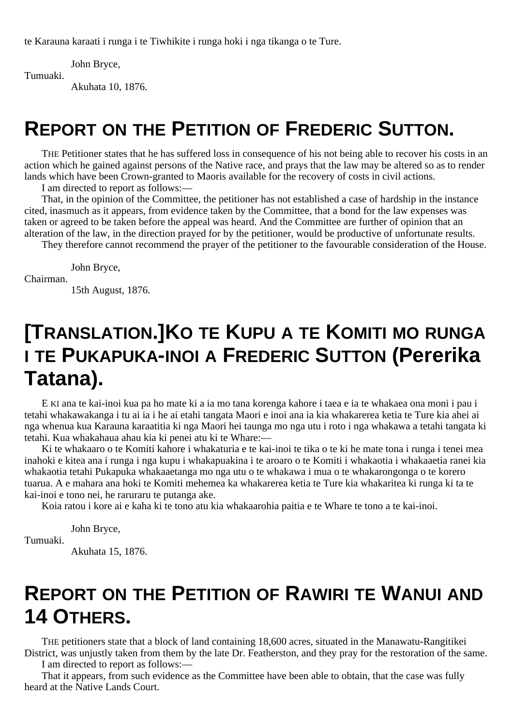te Karauna karaati i runga i te Tiwhikite i runga hoki i nga tikanga o te Ture.

John Bryce,

Tumuaki.

Akuhata 10, 1876.

## **REPORT ON THE PETITION OF FREDERIC SUTTON.**

THE Petitioner states that he has suffered loss in consequence of his not being able to recover his costs in an action which he gained against persons of the Native race, and prays that the law may be altered so as to render lands which have been Crown-granted to Maoris available for the recovery of costs in civil actions.

I am directed to report as follows:—

That, in the opinion of the Committee, the petitioner has not established a case of hardship in the instance cited, inasmuch as it appears, from evidence taken by the Committee, that a bond for the law expenses was taken or agreed to be taken before the appeal was heard. And the Committee are further of opinion that an alteration of the law, in the direction prayed for by the petitioner, would be productive of unfortunate results.

They therefore cannot recommend the prayer of the petitioner to the favourable consideration of the House.

John Bryce,

Chairman.

15th August, 1876.

## **[TRANSLATION.]KO TE KUPU A TE KOMITI MO RUNGA I TE PUKAPUKA-INOI A FREDERIC SUTTON (Pererika Tatana).**

E KI ana te kai-inoi kua pa ho mate ki a ia mo tana korenga kahore i taea e ia te whakaea ona moni i pau i tetahi whakawakanga i tu ai ia i he ai etahi tangata Maori e inoi ana ia kia whakarerea ketia te Ture kia ahei ai nga whenua kua Karauna karaatitia ki nga Maori hei taunga mo nga utu i roto i nga whakawa a tetahi tangata ki tetahi. Kua whakahaua ahau kia ki penei atu ki te Whare:—

Ki te whakaaro o te Komiti kahore i whakaturia e te kai-inoi te tika o te ki he mate tona i runga i tenei mea inahoki e kitea ana i runga i nga kupu i whakapuakina i te aroaro o te Komiti i whakaotia i whakaaetia ranei kia whakaotia tetahi Pukapuka whakaaetanga mo nga utu o te whakawa i mua o te whakarongonga o te korero tuarua. A e mahara ana hoki te Komiti mehemea ka whakarerea ketia te Ture kia whakaritea ki runga ki ta te kai-inoi e tono nei, he raruraru te putanga ake.

Koia ratou i kore ai e kaha ki te tono atu kia whakaarohia paitia e te Whare te tono a te kai-inoi.

John Bryce,

Tumuaki.

Akuhata 15, 1876.

#### **REPORT ON THE PETITION OF RAWIRI TE WANUI AND 14 OTHERS.**

THE petitioners state that a block of land containing 18,600 acres, situated in the Manawatu-Rangitikei District, was unjustly taken from them by the late Dr. Featherston, and they pray for the restoration of the same.

I am directed to report as follows:—

That it appears, from such evidence as the Committee have been able to obtain, that the case was fully heard at the Native Lands Court.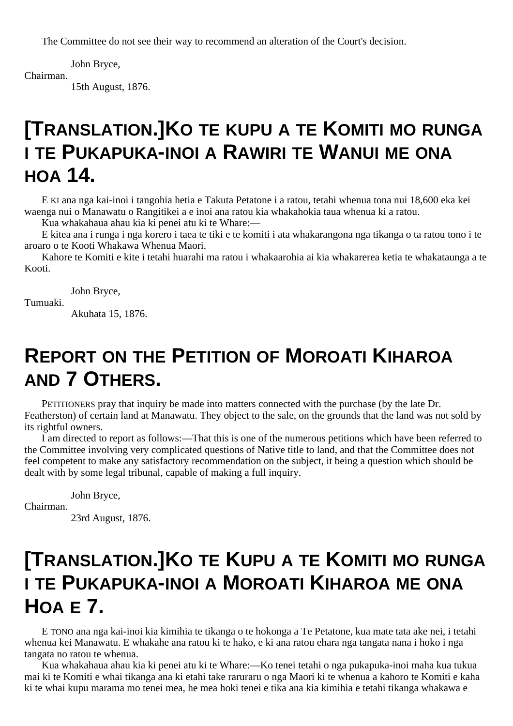The Committee do not see their way to recommend an alteration of the Court's decision.

John Bryce, Chairman.

15th August, 1876.

#### **[TRANSLATION.]KO TE KUPU A TE KOMITI MO RUNGA I TE PUKAPUKA-INOI A RAWIRI TE WANUI ME ONA HOA 14.**

E KI ana nga kai-inoi i tangohia hetia e Takuta Petatone i a ratou, tetahi whenua tona nui 18,600 eka kei waenga nui o Manawatu o Rangitikei a e inoi ana ratou kia whakahokia taua whenua ki a ratou.

Kua whakahaua ahau kia ki penei atu ki te Whare:—

E kitea ana i runga i nga korero i taea te tiki e te komiti i ata whakarangona nga tikanga o ta ratou tono i te aroaro o te Kooti Whakawa Whenua Maori.

Kahore te Komiti e kite i tetahi huarahi ma ratou i whakaarohia ai kia whakarerea ketia te whakataunga a te Kooti.

John Bryce,

#### Tumuaki.

Akuhata 15, 1876.

#### **REPORT ON THE PETITION OF MOROATI KIHAROA AND 7 OTHERS.**

PETITIONERS pray that inquiry be made into matters connected with the purchase (by the late Dr. Featherston) of certain land at Manawatu. They object to the sale, on the grounds that the land was not sold by its rightful owners.

I am directed to report as follows:—That this is one of the numerous petitions which have been referred to the Committee involving very complicated questions of Native title to land, and that the Committee does not feel competent to make any satisfactory recommendation on the subject, it being a question which should be dealt with by some legal tribunal, capable of making a full inquiry.

John Bryce,

Chairman.

23rd August, 1876.

## **[TRANSLATION.]KO TE KUPU A TE KOMITI MO RUNGA I TE PUKAPUKA-INOI A MOROATI KIHAROA ME ONA HOA E 7.**

E TONO ana nga kai-inoi kia kimihia te tikanga o te hokonga a Te Petatone, kua mate tata ake nei, i tetahi whenua kei Manawatu. E whakahe ana ratou ki te hako, e ki ana ratou ehara nga tangata nana i hoko i nga tangata no ratou te whenua.

Kua whakahaua ahau kia ki penei atu ki te Whare:—Ko tenei tetahi o nga pukapuka-inoi maha kua tukua mai ki te Komiti e whai tikanga ana ki etahi take raruraru o nga Maori ki te whenua a kahoro te Komiti e kaha ki te whai kupu marama mo tenei mea, he mea hoki tenei e tika ana kia kimihia e tetahi tikanga whakawa e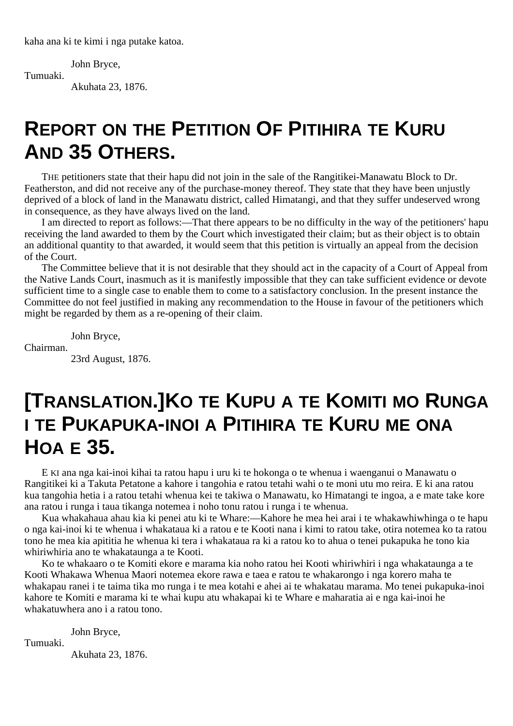kaha ana ki te kimi i nga putake katoa.

John Bryce,

Tumuaki.

Akuhata 23, 1876.

# **REPORT ON THE PETITION OF PITIHIRA TE KURU AND 35 OTHERS.**

THE petitioners state that their hapu did not join in the sale of the Rangitikei-Manawatu Block to Dr. Featherston, and did not receive any of the purchase-money thereof. They state that they have been unjustly deprived of a block of land in the Manawatu district, called Himatangi, and that they suffer undeserved wrong in consequence, as they have always lived on the land.

I am directed to report as follows:—That there appears to be no difficulty in the way of the petitioners' hapu receiving the land awarded to them by the Court which investigated their claim; but as their object is to obtain an additional quantity to that awarded, it would seem that this petition is virtually an appeal from the decision of the Court.

The Committee believe that it is not desirable that they should act in the capacity of a Court of Appeal from the Native Lands Court, inasmuch as it is manifestly impossible that they can take sufficient evidence or devote sufficient time to a single case to enable them to come to a satisfactory conclusion. In the present instance the Committee do not feel justified in making any recommendation to the House in favour of the petitioners which might be regarded by them as a re-opening of their claim.

John Bryce,

Chairman.

23rd August, 1876.

## **[TRANSLATION.]KO TE KUPU A TE KOMITI MO RUNGA I TE PUKAPUKA-INOI A PITIHIRA TE KURU ME ONA HOA E 35.**

E KI ana nga kai-inoi kihai ta ratou hapu i uru ki te hokonga o te whenua i waenganui o Manawatu o Rangitikei ki a Takuta Petatone a kahore i tangohia e ratou tetahi wahi o te moni utu mo reira. E ki ana ratou kua tangohia hetia i a ratou tetahi whenua kei te takiwa o Manawatu, ko Himatangi te ingoa, a e mate take kore ana ratou i runga i taua tikanga notemea i noho tonu ratou i runga i te whenua.

Kua whakahaua ahau kia ki penei atu ki te Whare:—Kahore he mea hei arai i te whakawhiwhinga o te hapu o nga kai-inoi ki te whenua i whakataua ki a ratou e te Kooti nana i kimi to ratou take, otira notemea ko ta ratou tono he mea kia apititia he whenua ki tera i whakataua ra ki a ratou ko to ahua o tenei pukapuka he tono kia whiriwhiria ano te whakataunga a te Kooti.

Ko te whakaaro o te Komiti ekore e marama kia noho ratou hei Kooti whiriwhiri i nga whakataunga a te Kooti Whakawa Whenua Maori notemea ekore rawa e taea e ratou te whakarongo i nga korero maha te whakapau ranei i te taima tika mo runga i te mea kotahi e ahei ai te whakatau marama. Mo tenei pukapuka-inoi kahore te Komiti e marama ki te whai kupu atu whakapai ki te Whare e maharatia ai e nga kai-inoi he whakatuwhera ano i a ratou tono.

John Bryce,

Tumuaki.

Akuhata 23, 1876.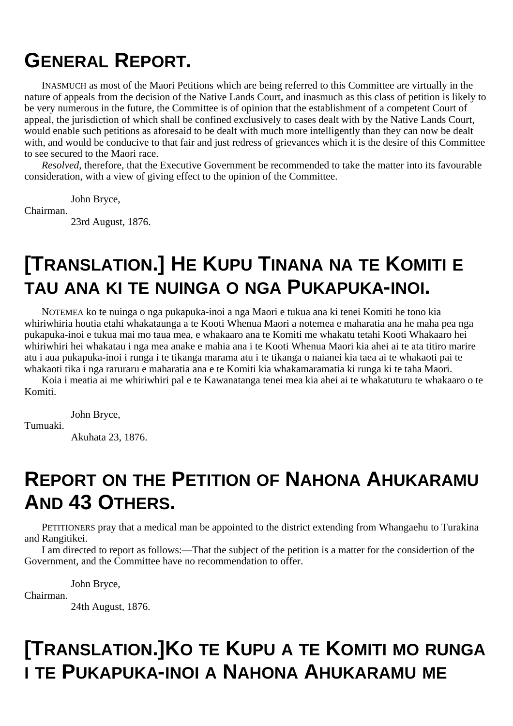#### **GENERAL REPORT.**

INASMUCH as most of the Maori Petitions which are being referred to this Committee are virtually in the nature of appeals from the decision of the Native Lands Court, and inasmuch as this class of petition is likely to be very numerous in the future, the Committee is of opinion that the establishment of a competent Court of appeal, the jurisdiction of which shall be confined exclusively to cases dealt with by the Native Lands Court, would enable such petitions as aforesaid to be dealt with much more intelligently than they can now be dealt with, and would be conducive to that fair and just redress of grievances which it is the desire of this Committee to see secured to the Maori race.

*Resolved*, therefore, that the Executive Government be recommended to take the matter into its favourable consideration, with a view of giving effect to the opinion of the Committee.

John Bryce,

Chairman.

23rd August, 1876.

## **[TRANSLATION.] HE KUPU TINANA NA TE KOMITI E TAU ANA KI TE NUINGA O NGA PUKAPUKA-INOI.**

NOTEMEA ko te nuinga o nga pukapuka-inoi a nga Maori e tukua ana ki tenei Komiti he tono kia whiriwhiria houtia etahi whakataunga a te Kooti Whenua Maori a notemea e maharatia ana he maha pea nga pukapuka-inoi e tukua mai mo taua mea, e whakaaro ana te Komiti me whakatu tetahi Kooti Whakaaro hei whiriwhiri hei whakatau i nga mea anake e mahia ana i te Kooti Whenua Maori kia ahei ai te ata titiro marire atu i aua pukapuka-inoi i runga i te tikanga marama atu i te tikanga o naianei kia taea ai te whakaoti pai te whakaoti tika i nga raruraru e maharatia ana e te Komiti kia whakamaramatia ki runga ki te taha Maori.

Koia i meatia ai me whiriwhiri pal e te Kawanatanga tenei mea kia ahei ai te whakatuturu te whakaaro o te Komiti.

John Bryce,

Tumuaki.

Akuhata 23, 1876.

#### **REPORT ON THE PETITION OF NAHONA AHUKARAMU AND 43 OTHERS.**

PETITIONERS pray that a medical man be appointed to the district extending from Whangaehu to Turakina and Rangitikei.

I am directed to report as follows:—That the subject of the petition is a matter for the considertion of the Government, and the Committee have no recommendation to offer.

John Bryce,

Chairman.

24th August, 1876.

#### **[TRANSLATION.]KO TE KUPU A TE KOMITI MO RUNGA I TE PUKAPUKA-INOI A NAHONA AHUKARAMU ME**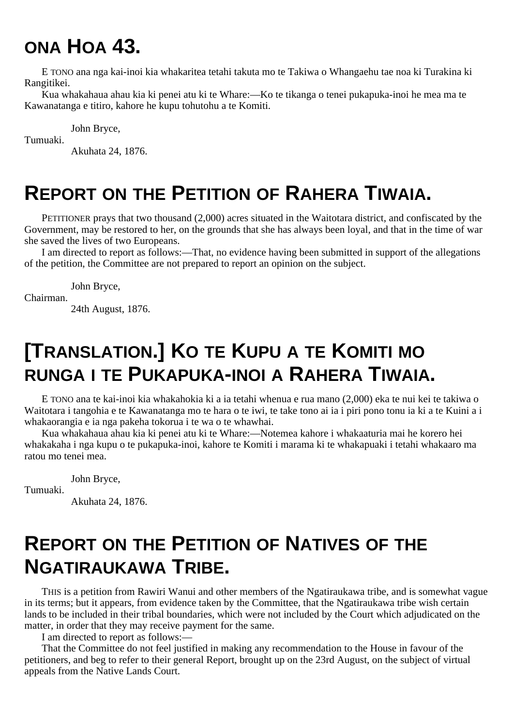## **ONA HOA 43.**

E TONO ana nga kai-inoi kia whakaritea tetahi takuta mo te Takiwa o Whangaehu tae noa ki Turakina ki Rangitikei.

Kua whakahaua ahau kia ki penei atu ki te Whare:—Ko te tikanga o tenei pukapuka-inoi he mea ma te Kawanatanga e titiro, kahore he kupu tohutohu a te Komiti.

John Bryce,

Tumuaki.

Akuhata 24, 1876.

#### **REPORT ON THE PETITION OF RAHERA TIWAIA.**

PETITIONER prays that two thousand (2,000) acres situated in the Waitotara district, and confiscated by the Government, may be restored to her, on the grounds that she has always been loyal, and that in the time of war she saved the lives of two Europeans.

I am directed to report as follows:—That, no evidence having been submitted in support of the allegations of the petition, the Committee are not prepared to report an opinion on the subject.

John Bryce,

Chairman.

24th August, 1876.

## **[TRANSLATION.] KO TE KUPU A TE KOMITI MO RUNGA I TE PUKAPUKA-INOI A RAHERA TIWAIA.**

E TONO ana te kai-inoi kia whakahokia ki a ia tetahi whenua e rua mano (2,000) eka te nui kei te takiwa o Waitotara i tangohia e te Kawanatanga mo te hara o te iwi, te take tono ai ia i piri pono tonu ia ki a te Kuini a i whakaorangia e ia nga pakeha tokorua i te wa o te whawhai.

Kua whakahaua ahau kia ki penei atu ki te Whare:—Notemea kahore i whakaaturia mai he korero hei whakakaha i nga kupu o te pukapuka-inoi, kahore te Komiti i marama ki te whakapuaki i tetahi whakaaro ma ratou mo tenei mea.

John Bryce,

Tumuaki.

Akuhata 24, 1876.

## **REPORT ON THE PETITION OF NATIVES OF THE NGATIRAUKAWA TRIBE.**

THIS is a petition from Rawiri Wanui and other members of the Ngatiraukawa tribe, and is somewhat vague in its terms; but it appears, from evidence taken by the Committee, that the Ngatiraukawa tribe wish certain lands to be included in their tribal boundaries, which were not included by the Court which adjudicated on the matter, in order that they may receive payment for the same.

I am directed to report as follows:—

That the Committee do not feel justified in making any recommendation to the House in favour of the petitioners, and beg to refer to their general Report, brought up on the 23rd August, on the subject of virtual appeals from the Native Lands Court.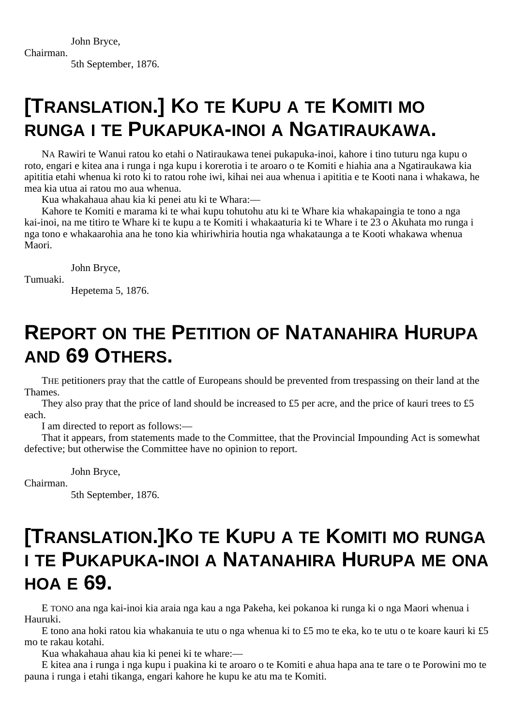John Bryce, Chairman. 5th September, 1876.

# **[TRANSLATION.] KO TE KUPU A TE KOMITI MO RUNGA I TE PUKAPUKA-INOI A NGATIRAUKAWA.**

NA Rawiri te Wanui ratou ko etahi o Natiraukawa tenei pukapuka-inoi, kahore i tino tuturu nga kupu o roto, engari e kitea ana i runga i nga kupu i korerotia i te aroaro o te Komiti e hiahia ana a Ngatiraukawa kia apititia etahi whenua ki roto ki to ratou rohe iwi, kihai nei aua whenua i apititia e te Kooti nana i whakawa, he mea kia utua ai ratou mo aua whenua.

Kua whakahaua ahau kia ki penei atu ki te Whara:—

Kahore te Komiti e marama ki te whai kupu tohutohu atu ki te Whare kia whakapaingia te tono a nga kai-inoi, na me titiro te Whare ki te kupu a te Komiti i whakaaturia ki te Whare i te 23 o Akuhata mo runga i nga tono e whakaarohia ana he tono kia whiriwhiria houtia nga whakataunga a te Kooti whakawa whenua Maori.

John Bryce,

Tumuaki.

Hepetema 5, 1876.

## **REPORT ON THE PETITION OF NATANAHIRA HURUPA AND 69 OTHERS.**

THE petitioners pray that the cattle of Europeans should be prevented from trespassing on their land at the Thames.

They also pray that the price of land should be increased to £5 per acre, and the price of kauri trees to £5 each.

I am directed to report as follows:—

That it appears, from statements made to the Committee, that the Provincial Impounding Act is somewhat defective; but otherwise the Committee have no opinion to report.

John Bryce,

Chairman.

5th September, 1876.

# **[TRANSLATION.]KO TE KUPU A TE KOMITI MO RUNGA I TE PUKAPUKA-INOI A NATANAHIRA HURUPA ME ONA HOA E 69.**

E TONO ana nga kai-inoi kia araia nga kau a nga Pakeha, kei pokanoa ki runga ki o nga Maori whenua i Hauruki.

E tono ana hoki ratou kia whakanuia te utu o nga whenua ki to £5 mo te eka, ko te utu o te koare kauri ki £5 mo te rakau kotahi.

Kua whakahaua ahau kia ki penei ki te whare:—

E kitea ana i runga i nga kupu i puakina ki te aroaro o te Komiti e ahua hapa ana te tare o te Porowini mo te pauna i runga i etahi tikanga, engari kahore he kupu ke atu ma te Komiti.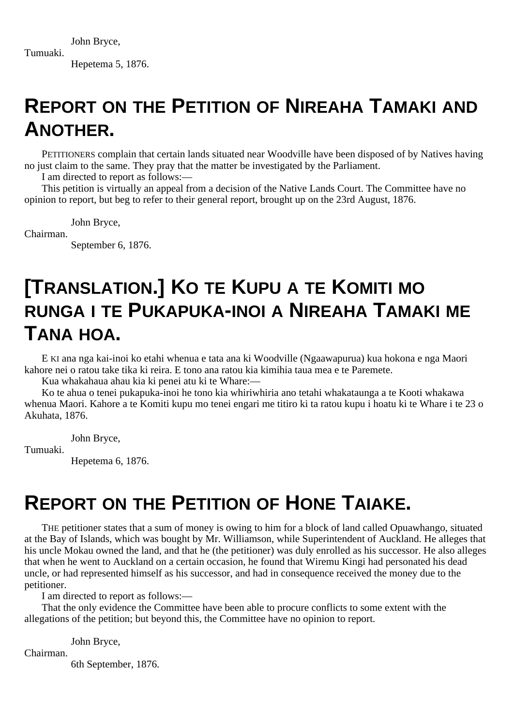John Bryce, Tumuaki.

Hepetema 5, 1876.

# **REPORT ON THE PETITION OF NIREAHA TAMAKI AND ANOTHER.**

PETITIONERS complain that certain lands situated near Woodville have been disposed of by Natives having no just claim to the same. They pray that the matter be investigated by the Parliament.

I am directed to report as follows:—

This petition is virtually an appeal from a decision of the Native Lands Court. The Committee have no opinion to report, but beg to refer to their general report, brought up on the 23rd August, 1876.

John Bryce,

Chairman.

September 6, 1876.

# **[TRANSLATION.] KO TE KUPU A TE KOMITI MO RUNGA I TE PUKAPUKA-INOI A NIREAHA TAMAKI ME TANA HOA.**

E KI ana nga kai-inoi ko etahi whenua e tata ana ki Woodville (Ngaawapurua) kua hokona e nga Maori kahore nei o ratou take tika ki reira. E tono ana ratou kia kimihia taua mea e te Paremete.

Kua whakahaua ahau kia ki penei atu ki te Whare:—

Ko te ahua o tenei pukapuka-inoi he tono kia whiriwhiria ano tetahi whakataunga a te Kooti whakawa whenua Maori. Kahore a te Komiti kupu mo tenei engari me titiro ki ta ratou kupu i hoatu ki te Whare i te 23 o Akuhata, 1876.

John Bryce,

Tumuaki.

Hepetema 6, 1876.

#### **REPORT ON THE PETITION OF HONE TAIAKE.**

THE petitioner states that a sum of money is owing to him for a block of land called Opuawhango, situated at the Bay of Islands, which was bought by Mr. Williamson, while Superintendent of Auckland. He alleges that his uncle Mokau owned the land, and that he (the petitioner) was duly enrolled as his successor. He also alleges that when he went to Auckland on a certain occasion, he found that Wiremu Kingi had personated his dead uncle, or had represented himself as his successor, and had in consequence received the money due to the petitioner.

I am directed to report as follows:—

That the only evidence the Committee have been able to procure conflicts to some extent with the allegations of the petition; but beyond this, the Committee have no opinion to report.

John Bryce,

Chairman.

6th September, 1876.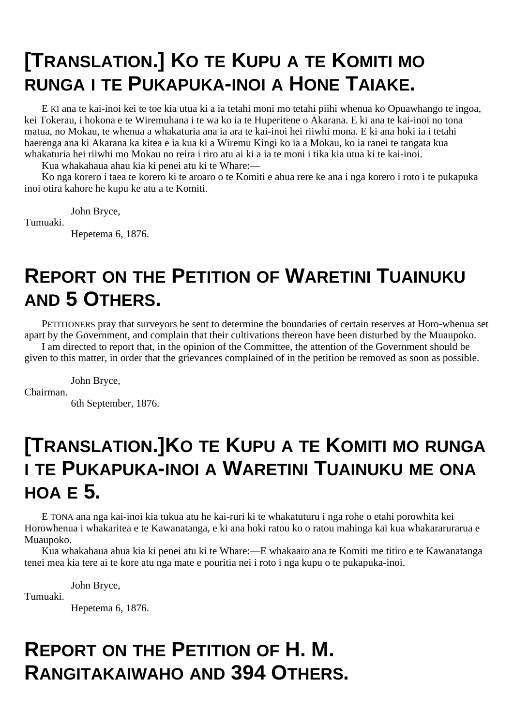# **[TRANSLATION.] KO TE KUPU A TE KOMITI MO RUNGA I TE PUKAPUKA-INOI A HONE TAIAKE.**

E KI ana te kai-inoi kei te toe kia utua ki a ia tetahi moni mo tetahi piihi whenua ko Opuawhango te ingoa, kei Tokerau, i hokona e te Wiremuhana i te wa ko ia te Huperitene o Akarana. E ki ana te kai-inoi no tona matua, no Mokau, te whenua a whakaturia ana ia ara te kai-inoi hei riiwhi mona. E ki ana hoki ia i tetahi haerenga ana ki Akarana ka kitea e ia kua ki a Wiremu Kingi ko ia a Mokau, ko ia ranei te tangata kua whakaturia hei riiwhi mo Mokau no reira i riro atu ai ki a ia te moni i tika kia utua ki te kai-inoi.

Kua whakahaua ahau kia ki penei atu ki te Whare:—

Ko nga korero i taea te korero ki te aroaro o te Komiti e ahua rere ke ana i nga korero i roto i te pukapuka inoi otira kahore he kupu ke atu a te Komiti.

John Bryce,

Tumuaki.

Hepetema 6, 1876.

## **REPORT ON THE PETITION OF WARETINI TUAINUKU AND 5 OTHERS.**

PETITIONERS pray that surveyors be sent to determine the boundaries of certain reserves at Horo-whenua set apart by the Government, and complain that their cultivations thereon have been disturbed by the Muaupoko.

I am directed to report that, in the opinion of the Committee, the attention of the Government should be given to this matter, in order that the grievances complained of in the petition be removed as soon as possible.

John Bryce,

Chairman.

6th September, 1876.

## **[TRANSLATION.]KO TE KUPU A TE KOMITI MO RUNGA I TE PUKAPUKA-INOI A WARETINI TUAINUKU ME ONA HOA E 5.**

E TONA ana nga kai-inoi kia tukua atu he kai-ruri ki te whakatuturu i nga rohe o etahi porowhita kei Horowhenua i whakaritea e te Kawanatanga, e ki ana hoki ratou ko o ratou mahinga kai kua whakararurarua e Muaupoko.

Kua whakahaua ahua kia ki penei atu ki te Whare:—E whakaaro ana te Komiti me titiro e te Kawanatanga tenei mea kia tere ai te kore atu nga mate e pouritia nei i roto i nga kupu o te pukapuka-inoi.

John Bryce,

Tumuaki.

Hepetema 6, 1876.

#### **REPORT ON THE PETITION OF H. M. RANGITAKAIWAHO AND 394 OTHERS.**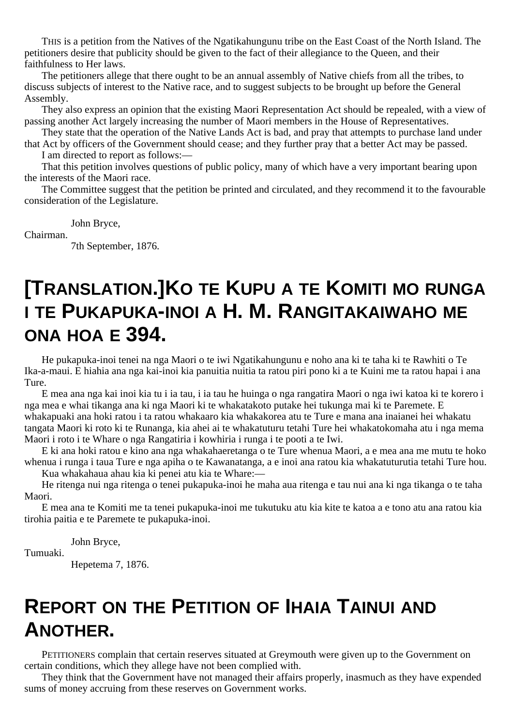THIS is a petition from the Natives of the Ngatikahungunu tribe on the East Coast of the North Island. The petitioners desire that publicity should be given to the fact of their allegiance to the Queen, and their faithfulness to Her laws.

The petitioners allege that there ought to be an annual assembly of Native chiefs from all the tribes, to discuss subjects of interest to the Native race, and to suggest subjects to be brought up before the General Assembly.

They also express an opinion that the existing Maori Representation Act should be repealed, with a view of passing another Act largely increasing the number of Maori members in the House of Representatives.

They state that the operation of the Native Lands Act is bad, and pray that attempts to purchase land under that Act by officers of the Government should cease; and they further pray that a better Act may be passed.

I am directed to report as follows:—

That this petition involves questions of public policy, many of which have a very important bearing upon the interests of the Maori race.

The Committee suggest that the petition be printed and circulated, and they recommend it to the favourable consideration of the Legislature.

John Bryce,

Chairman.

7th September, 1876.

## **[TRANSLATION.]KO TE KUPU A TE KOMITI MO RUNGA I TE PUKAPUKA-INOI A H. M. RANGITAKAIWAHO ME ONA HOA E 394.**

He pukapuka-inoi tenei na nga Maori o te iwi Ngatikahungunu e noho ana ki te taha ki te Rawhiti o Te Ika-a-maui. E hiahia ana nga kai-inoi kia panuitia nuitia ta ratou piri pono ki a te Kuini me ta ratou hapai i ana Ture.

E mea ana nga kai inoi kia tu i ia tau, i ia tau he huinga o nga rangatira Maori o nga iwi katoa ki te korero i nga mea e whai tikanga ana ki nga Maori ki te whakatakoto putake hei tukunga mai ki te Paremete. E whakapuaki ana hoki ratou i ta ratou whakaaro kia whakakorea atu te Ture e mana ana inaianei hei whakatu tangata Maori ki roto ki te Runanga, kia ahei ai te whakatuturu tetahi Ture hei whakatokomaha atu i nga mema Maori i roto i te Whare o nga Rangatiria i kowhiria i runga i te pooti a te Iwi.

E ki ana hoki ratou e kino ana nga whakahaeretanga o te Ture whenua Maori, a e mea ana me mutu te hoko whenua i runga i taua Ture e nga apiha o te Kawanatanga, a e inoi ana ratou kia whakatuturutia tetahi Ture hou.

Kua whakahaua ahau kia ki penei atu kia te Whare:—

He ritenga nui nga ritenga o tenei pukapuka-inoi he maha aua ritenga e tau nui ana ki nga tikanga o te taha Maori.

E mea ana te Komiti me ta tenei pukapuka-inoi me tukutuku atu kia kite te katoa a e tono atu ana ratou kia tirohia paitia e te Paremete te pukapuka-inoi.

John Bryce,

Tumuaki.

Hepetema 7, 1876.

#### **REPORT ON THE PETITION OF IHAIA TAINUI AND ANOTHER.**

PETITIONERS complain that certain reserves situated at Greymouth were given up to the Government on certain conditions, which they allege have not been complied with.

They think that the Government have not managed their affairs properly, inasmuch as they have expended sums of money accruing from these reserves on Government works.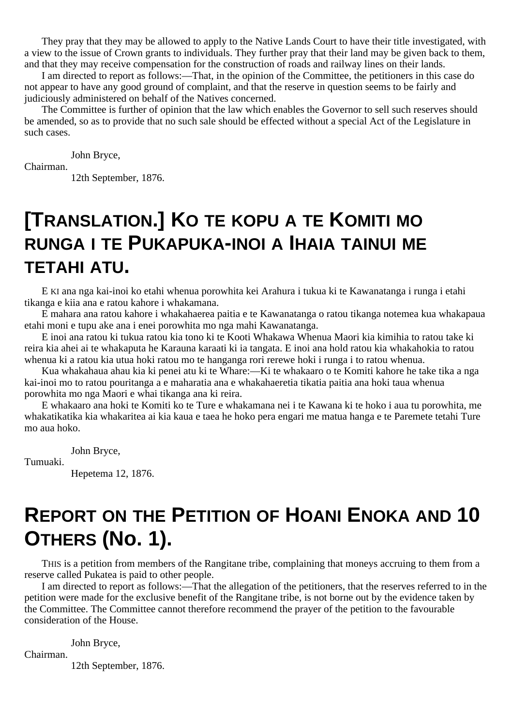They pray that they may be allowed to apply to the Native Lands Court to have their title investigated, with a view to the issue of Crown grants to individuals. They further pray that their land may be given back to them, and that they may receive compensation for the construction of roads and railway lines on their lands.

I am directed to report as follows:—That, in the opinion of the Committee, the petitioners in this case do not appear to have any good ground of complaint, and that the reserve in question seems to be fairly and judiciously administered on behalf of the Natives concerned.

The Committee is further of opinion that the law which enables the Governor to sell such reserves should be amended, so as to provide that no such sale should be effected without a special Act of the Legislature in such cases.

John Bryce,

Chairman.

12th September, 1876.

#### **[TRANSLATION.] KO TE KOPU A TE KOMITI MO RUNGA I TE PUKAPUKA-INOI A IHAIA TAINUI ME TETAHI ATU.**

E KI ana nga kai-inoi ko etahi whenua porowhita kei Arahura i tukua ki te Kawanatanga i runga i etahi tikanga e kiia ana e ratou kahore i whakamana.

E mahara ana ratou kahore i whakahaerea paitia e te Kawanatanga o ratou tikanga notemea kua whakapaua etahi moni e tupu ake ana i enei porowhita mo nga mahi Kawanatanga.

E inoi ana ratou ki tukua ratou kia tono ki te Kooti Whakawa Whenua Maori kia kimihia to ratou take ki reira kia ahei ai te whakaputa he Karauna karaati ki ia tangata. E inoi ana hold ratou kia whakahokia to ratou whenua ki a ratou kia utua hoki ratou mo te hanganga rori rerewe hoki i runga i to ratou whenua.

Kua whakahaua ahau kia ki penei atu ki te Whare:—Ki te whakaaro o te Komiti kahore he take tika a nga kai-inoi mo to ratou pouritanga a e maharatia ana e whakahaeretia tikatia paitia ana hoki taua whenua porowhita mo nga Maori e whai tikanga ana ki reira.

E whakaaro ana hoki te Komiti ko te Ture e whakamana nei i te Kawana ki te hoko i aua tu porowhita, me whakatikatika kia whakaritea ai kia kaua e taea he hoko pera engari me matua hanga e te Paremete tetahi Ture mo aua hoko.

John Bryce,

Tumuaki.

Hepetema 12, 1876.

## **REPORT ON THE PETITION OF HOANI ENOKA AND 10 OTHERS (No. 1).**

THIS is a petition from members of the Rangitane tribe, complaining that moneys accruing to them from a reserve called Pukatea is paid to other people.

I am directed to report as follows:—That the allegation of the petitioners, that the reserves referred to in the petition were made for the exclusive benefit of the Rangitane tribe, is not borne out by the evidence taken by the Committee. The Committee cannot therefore recommend the prayer of the petition to the favourable consideration of the House.

John Bryce,

Chairman.

12th September, 1876.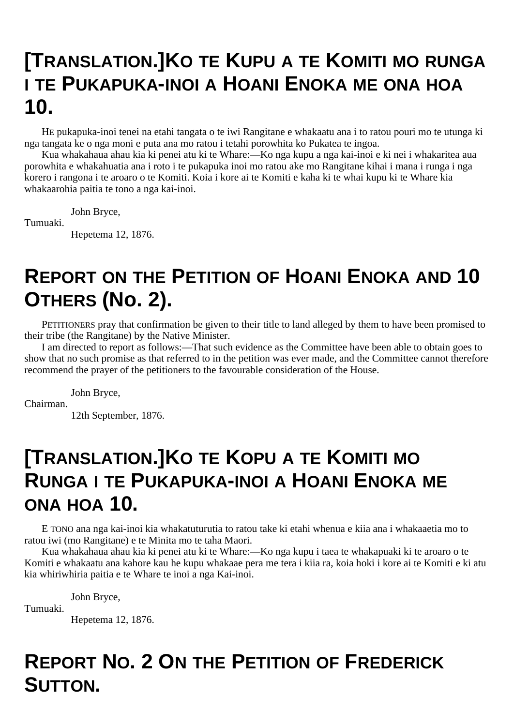# **[TRANSLATION.]KO TE KUPU A TE KOMITI MO RUNGA I TE PUKAPUKA-INOI A HOANI ENOKA ME ONA HOA 10.**

HE pukapuka-inoi tenei na etahi tangata o te iwi Rangitane e whakaatu ana i to ratou pouri mo te utunga ki nga tangata ke o nga moni e puta ana mo ratou i tetahi porowhita ko Pukatea te ingoa.

Kua whakahaua ahau kia ki penei atu ki te Whare:—Ko nga kupu a nga kai-inoi e ki nei i whakaritea aua porowhita e whakahuatia ana i roto i te pukapuka inoi mo ratou ake mo Rangitane kihai i mana i runga i nga korero i rangona i te aroaro o te Komiti. Koia i kore ai te Komiti e kaha ki te whai kupu ki te Whare kia whakaarohia paitia te tono a nga kai-inoi.

John Bryce,

Tumuaki.

Hepetema 12, 1876.

## **REPORT ON THE PETITION OF HOANI ENOKA AND 10 OTHERS (No. 2).**

PETITIONERS pray that confirmation be given to their title to land alleged by them to have been promised to their tribe (the Rangitane) by the Native Minister.

I am directed to report as follows:—That such evidence as the Committee have been able to obtain goes to show that no such promise as that referred to in the petition was ever made, and the Committee cannot therefore recommend the prayer of the petitioners to the favourable consideration of the House.

John Bryce,

Chairman.

12th September, 1876.

#### **[TRANSLATION.]KO TE KOPU A TE KOMITI MO RUNGA I TE PUKAPUKA-INOI A HOANI ENOKA ME ONA HOA 10.**

E TONO ana nga kai-inoi kia whakatuturutia to ratou take ki etahi whenua e kiia ana i whakaaetia mo to ratou iwi (mo Rangitane) e te Minita mo te taha Maori.

Kua whakahaua ahau kia ki penei atu ki te Whare:—Ko nga kupu i taea te whakapuaki ki te aroaro o te Komiti e whakaatu ana kahore kau he kupu whakaae pera me tera i kiia ra, koia hoki i kore ai te Komiti e ki atu kia whiriwhiria paitia e te Whare te inoi a nga Kai-inoi.

John Bryce,

Tumuaki.

Hepetema 12, 1876.

# **REPORT NO. 2 ON THE PETITION OF FREDERICK SUTTON.**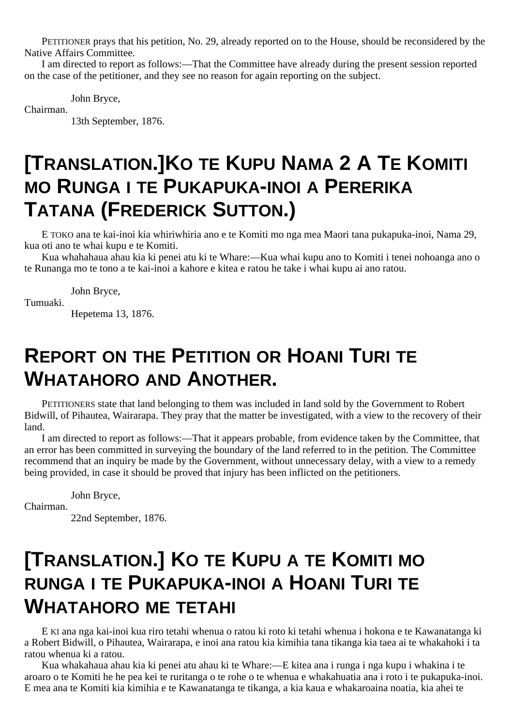PETITIONER prays that his petition, No. 29, already reported on to the House, should be reconsidered by the Native Affairs Committee.

I am directed to report as follows:—That the Committee have already during the present session reported on the case of the petitioner, and they see no reason for again reporting on the subject.

John Bryce,

Chairman.

13th September, 1876.

# **[TRANSLATION.]KO TE KUPU NAMA 2 A TE KOMITI MO RUNGA I TE PUKAPUKA-INOI A PERERIKA TATANA (FREDERICK SUTTON.)**

E TOKO ana te kai-inoi kia whiriwhiria ano e te Komiti mo nga mea Maori tana pukapuka-inoi, Nama 29, kua oti ano te whai kupu e te Komiti.

Kua whahahaua ahau kia ki penei atu ki te Whare:—Kua whai kupu ano to Komiti i tenei nohoanga ano o te Runanga mo te tono a te kai-inoi a kahore e kitea e ratou he take i whai kupu ai ano ratou.

John Bryce,

Tumuaki.

Hepetema 13, 1876.

## **REPORT ON THE PETITION OR HOANI TURI TE WHATAHORO AND ANOTHER.**

PETITIONERS state that land belonging to them was included in land sold by the Government to Robert Bidwill, of Pihautea, Wairarapa. They pray that the matter be investigated, with a view to the recovery of their land.

I am directed to report as follows:—That it appears probable, from evidence taken by the Committee, that an error has been committed in surveying the boundary of the land referred to in the petition. The Committee recommend that an inquiry be made by the Government, without unnecessary delay, with a view to a remedy being provided, in case it should be proved that injury has been inflicted on the petitioners.

John Bryce,

Chairman.

22nd September, 1876.

## **[TRANSLATION.] KO TE KUPU A TE KOMITI MO RUNGA I TE PUKAPUKA-INOI A HOANI TURI TE WHATAHORO ME TETAHI**

E KI ana nga kai-inoi kua riro tetahi whenua o ratou ki roto ki tetahi whenua i hokona e te Kawanatanga ki a Robert Bidwill, o Pihautea, Wairarapa, e inoi ana ratou kia kimihia tana tikanga kia taea ai te whakahoki i ta ratou whenua ki a ratou.

Kua whakahaua ahau kia ki penei atu ahau ki te Whare:—E kitea ana i runga i nga kupu i whakina i te aroaro o te Komiti he he pea kei te ruritanga o te rohe o te whenua e whakahuatia ana i roto i te pukapuka-inoi. E mea ana te Komiti kia kimihia e te Kawanatanga te tikanga, a kia kaua e whakaroaina noatia, kia ahei te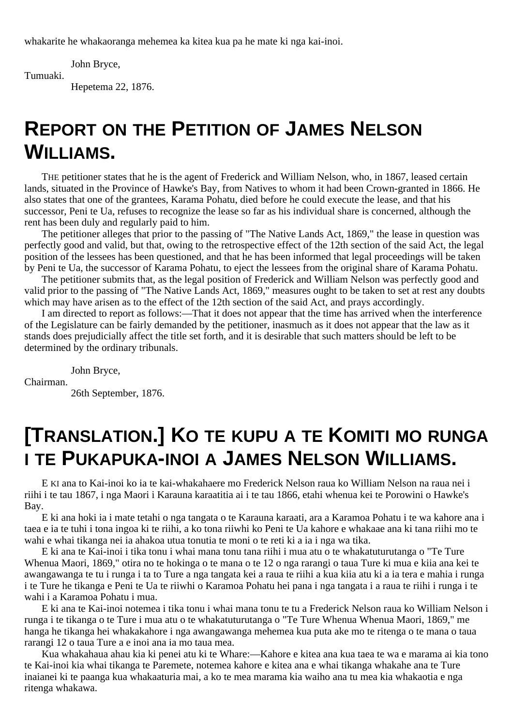whakarite he whakaoranga mehemea ka kitea kua pa he mate ki nga kai-inoi.

John Bryce,

Tumuaki.

Hepetema 22, 1876.

## **REPORT ON THE PETITION OF JAMES NELSON WILLIAMS.**

THE petitioner states that he is the agent of Frederick and William Nelson, who, in 1867, leased certain lands, situated in the Province of Hawke's Bay, from Natives to whom it had been Crown-granted in 1866. He also states that one of the grantees, Karama Pohatu, died before he could execute the lease, and that his successor, Peni te Ua, refuses to recognize the lease so far as his individual share is concerned, although the rent has been duly and regularly paid to him.

The petitioner alleges that prior to the passing of "The Native Lands Act, 1869," the lease in question was perfectly good and valid, but that, owing to the retrospective effect of the 12th section of the said Act, the legal position of the lessees has been questioned, and that he has been informed that legal proceedings will be taken by Peni te Ua, the successor of Karama Pohatu, to eject the lessees from the original share of Karama Pohatu.

The petitioner submits that, as the legal position of Frederick and William Nelson was perfectly good and valid prior to the passing of "The Native Lands Act, 1869," measures ought to be taken to set at rest any doubts which may have arisen as to the effect of the 12th section of the said Act, and prays accordingly.

I am directed to report as follows:—That it does not appear that the time has arrived when the interference of the Legislature can be fairly demanded by the petitioner, inasmuch as it does not appear that the law as it stands does prejudicially affect the title set forth, and it is desirable that such matters should be left to be determined by the ordinary tribunals.

John Bryce,

Chairman.

26th September, 1876.

## **[TRANSLATION.] KO TE KUPU A TE KOMITI MO RUNGA I TE PUKAPUKA-INOI A JAMES NELSON WILLIAMS.**

E KI ana to Kai-inoi ko ia te kai-whakahaere mo Frederick Nelson raua ko William Nelson na raua nei i riihi i te tau 1867, i nga Maori i Karauna karaatitia ai i te tau 1866, etahi whenua kei te Porowini o Hawke's Bay.

E ki ana hoki ia i mate tetahi o nga tangata o te Karauna karaati, ara a Karamoa Pohatu i te wa kahore ana i taea e ia te tuhi i tona ingoa ki te riihi, a ko tona riiwhi ko Peni te Ua kahore e whakaae ana ki tana riihi mo te wahi e whai tikanga nei ia ahakoa utua tonutia te moni o te reti ki a ia i nga wa tika.

E ki ana te Kai-inoi i tika tonu i whai mana tonu tana riihi i mua atu o te whakatuturutanga o "Te Ture Whenua Maori, 1869," otira no te hokinga o te mana o te 12 o nga rarangi o taua Ture ki mua e kiia ana kei te awangawanga te tu i runga i ta to Ture a nga tangata kei a raua te riihi a kua kiia atu ki a ia tera e mahia i runga i te Ture he tikanga e Peni te Ua te riiwhi o Karamoa Pohatu hei pana i nga tangata i a raua te riihi i runga i te wahi i a Karamoa Pohatu i mua.

E ki ana te Kai-inoi notemea i tika tonu i whai mana tonu te tu a Frederick Nelson raua ko William Nelson i runga i te tikanga o te Ture i mua atu o te whakatuturutanga o "Te Ture Whenua Whenua Maori, 1869," me hanga he tikanga hei whakakahore i nga awangawanga mehemea kua puta ake mo te ritenga o te mana o taua rarangi 12 o taua Ture a e inoi ana ia mo taua mea.

Kua whakahaua ahau kia ki penei atu ki te Whare:—Kahore e kitea ana kua taea te wa e marama ai kia tono te Kai-inoi kia whai tikanga te Paremete, notemea kahore e kitea ana e whai tikanga whakahe ana te Ture inaianei ki te paanga kua whakaaturia mai, a ko te mea marama kia waiho ana tu mea kia whakaotia e nga ritenga whakawa.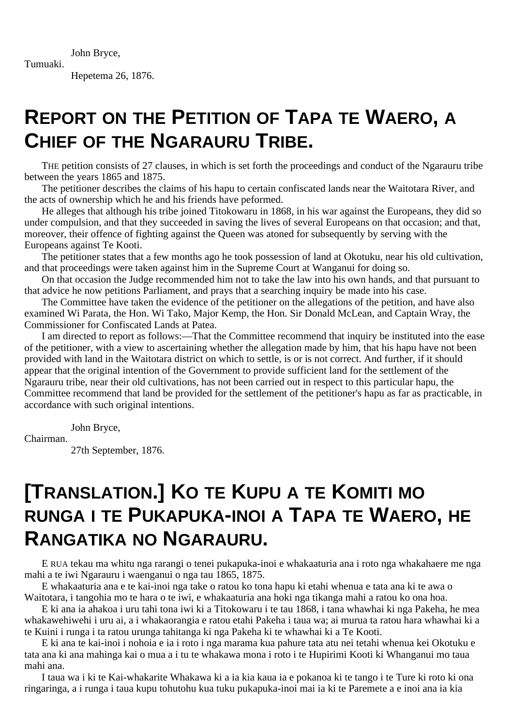John Bryce,

Tumuaki.

Hepetema 26, 1876.

## **REPORT ON THE PETITION OF TAPA TE WAERO, A CHIEF OF THE NGARAURU TRIBE.**

THE petition consists of 27 clauses, in which is set forth the proceedings and conduct of the Ngarauru tribe between the years 1865 and 1875.

The petitioner describes the claims of his hapu to certain confiscated lands near the Waitotara River, and the acts of ownership which he and his friends have peformed.

He alleges that although his tribe joined Titokowaru in 1868, in his war against the Europeans, they did so under compulsion, and that they succeeded in saving the lives of several Europeans on that occasion; and that, moreover, their offence of fighting against the Queen was atoned for subsequently by serving with the Europeans against Te Kooti.

The petitioner states that a few months ago he took possession of land at Okotuku, near his old cultivation, and that proceedings were taken against him in the Supreme Court at Wanganui for doing so.

On that occasion the Judge recommended him not to take the law into his own hands, and that pursuant to that advice he now petitions Parliament, and prays that a searching inquiry be made into his case.

The Committee have taken the evidence of the petitioner on the allegations of the petition, and have also examined Wi Parata, the Hon. Wi Tako, Major Kemp, the Hon. Sir Donald McLean, and Captain Wray, the Commissioner for Confiscated Lands at Patea.

I am directed to report as follows:—That the Committee recommend that inquiry be instituted into the ease of the petitioner, with a view to ascertaining whether the allegation made by him, that his hapu have not been provided with land in the Waitotara district on which to settle, is or is not correct. And further, if it should appear that the original intention of the Government to provide sufficient land for the settlement of the Ngarauru tribe, near their old cultivations, has not been carried out in respect to this particular hapu, the Committee recommend that land be provided for the settlement of the petitioner's hapu as far as practicable, in accordance with such original intentions.

John Bryce,

Chairman.

27th September, 1876.

## **[TRANSLATION.] KO TE KUPU A TE KOMITI MO RUNGA I TE PUKAPUKA-INOI A TAPA TE WAERO, HE RANGATIKA NO NGARAURU.**

E RUA tekau ma whitu nga rarangi o tenei pukapuka-inoi e whakaaturia ana i roto nga whakahaere me nga mahi a te iwi Ngarauru i waenganui o nga tau 1865, 1875.

E whakaaturia ana e te kai-inoi nga take o ratou ko tona hapu ki etahi whenua e tata ana ki te awa o Waitotara, i tangohia mo te hara o te iwi, e whakaaturia ana hoki nga tikanga mahi a ratou ko ona hoa.

E ki ana ia ahakoa i uru tahi tona iwi ki a Titokowaru i te tau 1868, i tana whawhai ki nga Pakeha, he mea whakawehiwehi i uru ai, a i whakaorangia e ratou etahi Pakeha i taua wa; ai murua ta ratou hara whawhai ki a te Kuini i runga i ta ratou urunga tahitanga ki nga Pakeha ki te whawhai ki a Te Kooti.

E ki ana te kai-inoi i nohoia e ia i roto i nga marama kua pahure tata atu nei tetahi whenua kei Okotuku e tata ana ki ana mahinga kai o mua a i tu te whakawa mona i roto i te Hupirimi Kooti ki Whanganui mo taua mahi ana.

I taua wa i ki te Kai-whakarite Whakawa ki a ia kia kaua ia e pokanoa ki te tango i te Ture ki roto ki ona ringaringa, a i runga i taua kupu tohutohu kua tuku pukapuka-inoi mai ia ki te Paremete a e inoi ana ia kia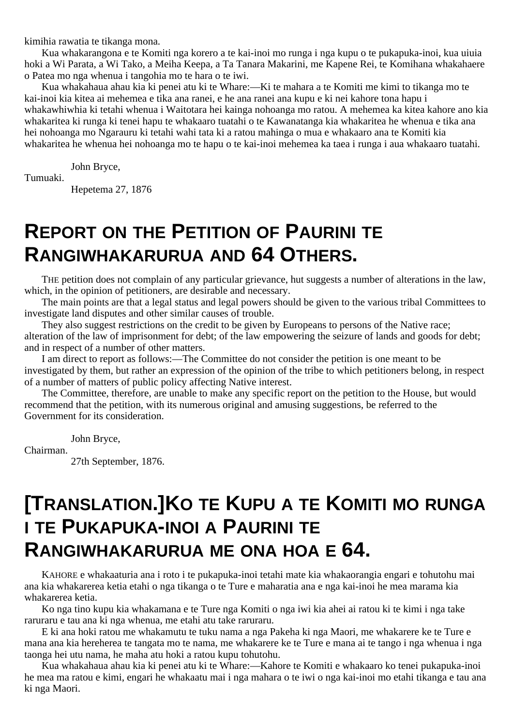kimihia rawatia te tikanga mona.

Kua whakarangona e te Komiti nga korero a te kai-inoi mo runga i nga kupu o te pukapuka-inoi, kua uiuia hoki a Wi Parata, a Wi Tako, a Meiha Keepa, a Ta Tanara Makarini, me Kapene Rei, te Komihana whakahaere o Patea mo nga whenua i tangohia mo te hara o te iwi.

Kua whakahaua ahau kia ki penei atu ki te Whare:—Ki te mahara a te Komiti me kimi to tikanga mo te kai-inoi kia kitea ai mehemea e tika ana ranei, e he ana ranei ana kupu e ki nei kahore tona hapu i whakawhiwhia ki tetahi whenua i Waitotara hei kainga nohoanga mo ratou. A mehemea ka kitea kahore ano kia whakaritea ki runga ki tenei hapu te whakaaro tuatahi o te Kawanatanga kia whakaritea he whenua e tika ana hei nohoanga mo Ngarauru ki tetahi wahi tata ki a ratou mahinga o mua e whakaaro ana te Komiti kia whakaritea he whenua hei nohoanga mo te hapu o te kai-inoi mehemea ka taea i runga i aua whakaaro tuatahi.

John Bryce,

Tumuaki.

Hepetema 27, 1876

## **REPORT ON THE PETITION OF PAURINI TE RANGIWHAKARURUA AND 64 OTHERS.**

THE petition does not complain of any particular grievance, hut suggests a number of alterations in the law, which, in the opinion of petitioners, are desirable and necessary.

The main points are that a legal status and legal powers should be given to the various tribal Committees to investigate land disputes and other similar causes of trouble.

They also suggest restrictions on the credit to be given by Europeans to persons of the Native race; alteration of the law of imprisonment for debt; of the law empowering the seizure of lands and goods for debt; and in respect of a number of other matters.

I am direct to report as follows:—The Committee do not consider the petition is one meant to be investigated by them, but rather an expression of the opinion of the tribe to which petitioners belong, in respect of a number of matters of public policy affecting Native interest.

The Committee, therefore, are unable to make any specific report on the petition to the House, but would recommend that the petition, with its numerous original and amusing suggestions, be referred to the Government for its consideration.

John Bryce,

Chairman.

27th September, 1876.

# **[TRANSLATION.]KO TE KUPU A TE KOMITI MO RUNGA I TE PUKAPUKA-INOI A PAURINI TE RANGIWHAKARURUA ME ONA HOA E 64.**

KAHORE e whakaaturia ana i roto i te pukapuka-inoi tetahi mate kia whakaorangia engari e tohutohu mai ana kia whakarerea ketia etahi o nga tikanga o te Ture e maharatia ana e nga kai-inoi he mea marama kia whakarerea ketia.

Ko nga tino kupu kia whakamana e te Ture nga Komiti o nga iwi kia ahei ai ratou ki te kimi i nga take raruraru e tau ana ki nga whenua, me etahi atu take raruraru.

E ki ana hoki ratou me whakamutu te tuku nama a nga Pakeha ki nga Maori, me whakarere ke te Ture e mana ana kia hereherea te tangata mo te nama, me whakarere ke te Ture e mana ai te tango i nga whenua i nga taonga hei utu nama, he maha atu hoki a ratou kupu tohutohu.

Kua whakahaua ahau kia ki penei atu ki te Whare:—Kahore te Komiti e whakaaro ko tenei pukapuka-inoi he mea ma ratou e kimi, engari he whakaatu mai i nga mahara o te iwi o nga kai-inoi mo etahi tikanga e tau ana ki nga Maori.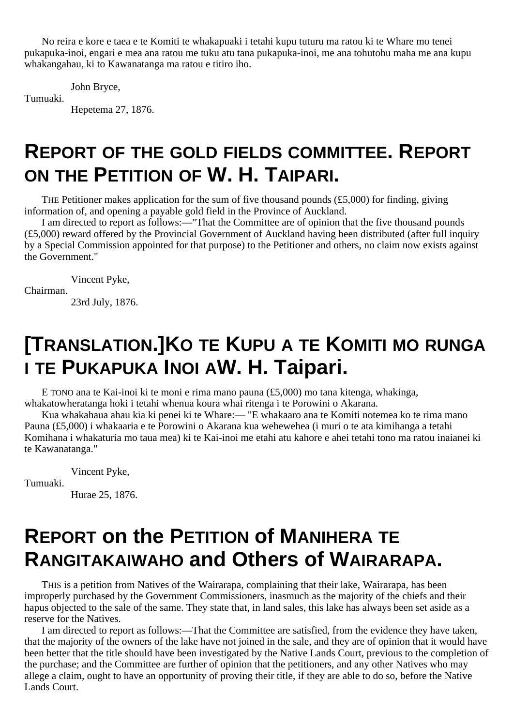No reira e kore e taea e te Komiti te whakapuaki i tetahi kupu tuturu ma ratou ki te Whare mo tenei pukapuka-inoi, engari e mea ana ratou me tuku atu tana pukapuka-inoi, me ana tohutohu maha me ana kupu whakangahau, ki to Kawanatanga ma ratou e titiro iho.

John Bryce,

Tumuaki.

Hepetema 27, 1876.

#### **REPORT OF THE GOLD FIELDS COMMITTEE. REPORT ON THE PETITION OF W. H. TAIPARI.**

THE Petitioner makes application for the sum of five thousand pounds (£5,000) for finding, giving information of, and opening a payable gold field in the Province of Auckland.

I am directed to report as follows:—"That the Committee are of opinion that the five thousand pounds (£5,000) reward offered by the Provincial Government of Auckland having been distributed (after full inquiry by a Special Commission appointed for that purpose) to the Petitioner and others, no claim now exists against the Government."

Vincent Pyke,

Chairman.

Tumuaki.

23rd July, 1876.

## **[TRANSLATION.]KO TE KUPU A TE KOMITI MO RUNGA I TE PUKAPUKA INOI AW. H. Taipari.**

E TONO ana te Kai-inoi ki te moni e rima mano pauna (£5,000) mo tana kitenga, whakinga, whakatowheratanga hoki i tetahi whenua koura whai ritenga i te Porowini o Akarana.

Kua whakahaua ahau kia ki penei ki te Whare:— "E whakaaro ana te Komiti notemea ko te rima mano Pauna (£5,000) i whakaaria e te Porowini o Akarana kua wehewehea (i muri o te ata kimihanga a tetahi Komihana i whakaturia mo taua mea) ki te Kai-inoi me etahi atu kahore e ahei tetahi tono ma ratou inaianei ki te Kawanatanga."

Vincent Pyke,

Hurae 25, 1876.

#### **REPORT on the PETITION of MANIHERA TE RANGITAKAIWAHO and Others of WAIRARAPA.**

THIS is a petition from Natives of the Wairarapa, complaining that their lake, Wairarapa, has been improperly purchased by the Government Commissioners, inasmuch as the majority of the chiefs and their hapus objected to the sale of the same. They state that, in land sales, this lake has always been set aside as a reserve for the Natives.

I am directed to report as follows:—That the Committee are satisfied, from the evidence they have taken, that the majority of the owners of the lake have not joined in the sale, and they are of opinion that it would have been better that the title should have been investigated by the Native Lands Court, previous to the completion of the purchase; and the Committee are further of opinion that the petitioners, and any other Natives who may allege a claim, ought to have an opportunity of proving their title, if they are able to do so, before the Native Lands Court.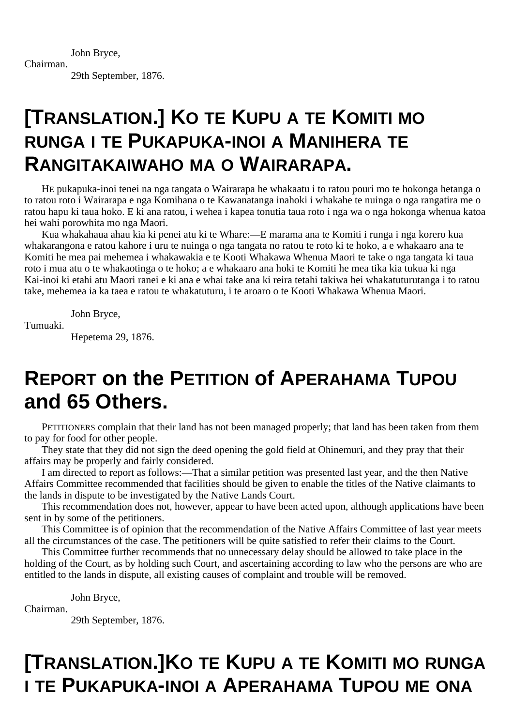John Bryce, Chairman. 29th September, 1876.

# **[TRANSLATION.] KO TE KUPU A TE KOMITI MO RUNGA I TE PUKAPUKA-INOI A MANIHERA TE RANGITAKAIWAHO MA O WAIRARAPA.**

HE pukapuka-inoi tenei na nga tangata o Wairarapa he whakaatu i to ratou pouri mo te hokonga hetanga o to ratou roto i Wairarapa e nga Komihana o te Kawanatanga inahoki i whakahe te nuinga o nga rangatira me o ratou hapu ki taua hoko. E ki ana ratou, i wehea i kapea tonutia taua roto i nga wa o nga hokonga whenua katoa hei wahi porowhita mo nga Maori.

Kua whakahaua ahau kia ki penei atu ki te Whare:—E marama ana te Komiti i runga i nga korero kua whakarangona e ratou kahore i uru te nuinga o nga tangata no ratou te roto ki te hoko, a e whakaaro ana te Komiti he mea pai mehemea i whakawakia e te Kooti Whakawa Whenua Maori te take o nga tangata ki taua roto i mua atu o te whakaotinga o te hoko; a e whakaaro ana hoki te Komiti he mea tika kia tukua ki nga Kai-inoi ki etahi atu Maori ranei e ki ana e whai take ana ki reira tetahi takiwa hei whakatuturutanga i to ratou take, mehemea ia ka taea e ratou te whakatuturu, i te aroaro o te Kooti Whakawa Whenua Maori.

John Bryce,

Tumuaki.

Hepetema 29, 1876.

## **REPORT on the PETITION of APERAHAMA TUPOU and 65 Others.**

PETITIONERS complain that their land has not been managed properly; that land has been taken from them to pay for food for other people.

They state that they did not sign the deed opening the gold field at Ohinemuri, and they pray that their affairs may be properly and fairly considered.

I am directed to report as follows:—That a similar petition was presented last year, and the then Native Affairs Committee recommended that facilities should be given to enable the titles of the Native claimants to the lands in dispute to be investigated by the Native Lands Court.

This recommendation does not, however, appear to have been acted upon, although applications have been sent in by some of the petitioners.

This Committee is of opinion that the recommendation of the Native Affairs Committee of last year meets all the circumstances of the case. The petitioners will be quite satisfied to refer their claims to the Court.

This Committee further recommends that no unnecessary delay should be allowed to take place in the holding of the Court, as by holding such Court, and ascertaining according to law who the persons are who are entitled to the lands in dispute, all existing causes of complaint and trouble will be removed.

John Bryce,

Chairman.

29th September, 1876.

# **[TRANSLATION.]KO TE KUPU A TE KOMITI MO RUNGA I TE PUKAPUKA-INOI A APERAHAMA TUPOU ME ONA**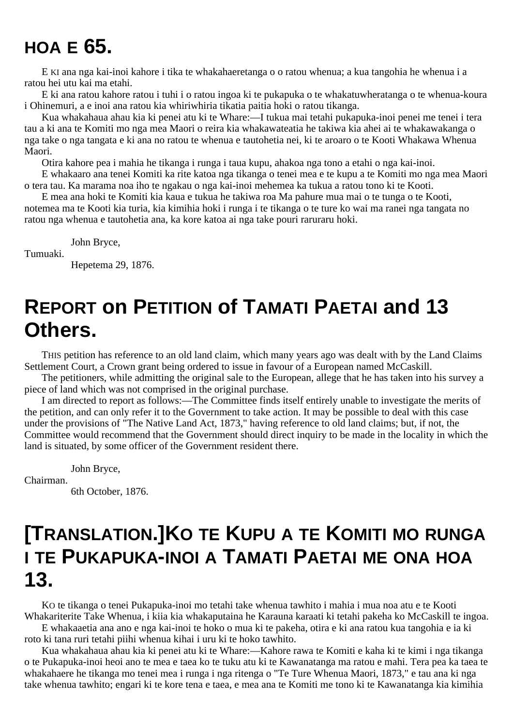# **HOA E 65.**

E KI ana nga kai-inoi kahore i tika te whakahaeretanga o o ratou whenua; a kua tangohia he whenua i a ratou hei utu kai ma etahi.

E ki ana ratou kahore ratou i tuhi i o ratou ingoa ki te pukapuka o te whakatuwheratanga o te whenua-koura i Ohinemuri, a e inoi ana ratou kia whiriwhiria tikatia paitia hoki o ratou tikanga.

Kua whakahaua ahau kia ki penei atu ki te Whare:—I tukua mai tetahi pukapuka-inoi penei me tenei i tera tau a ki ana te Komiti mo nga mea Maori o reira kia whakawateatia he takiwa kia ahei ai te whakawakanga o nga take o nga tangata e ki ana no ratou te whenua e tautohetia nei, ki te aroaro o te Kooti Whakawa Whenua Maori.

Otira kahore pea i mahia he tikanga i runga i taua kupu, ahakoa nga tono a etahi o nga kai-inoi.

E whakaaro ana tenei Komiti ka rite katoa nga tikanga o tenei mea e te kupu a te Komiti mo nga mea Maori o tera tau. Ka marama noa iho te ngakau o nga kai-inoi mehemea ka tukua a ratou tono ki te Kooti.

E mea ana hoki te Komiti kia kaua e tukua he takiwa roa Ma pahure mua mai o te tunga o te Kooti, notemea ma te Kooti kia turia, kia kimihia hoki i runga i te tikanga o te ture ko wai ma ranei nga tangata no ratou nga whenua e tautohetia ana, ka kore katoa ai nga take pouri raruraru hoki.

John Bryce,

Tumuaki.

Hepetema 29, 1876.

#### **REPORT on PETITION of TAMATI PAETAI and 13 Others.**

THIS petition has reference to an old land claim, which many years ago was dealt with by the Land Claims Settlement Court, a Crown grant being ordered to issue in favour of a European named McCaskill.

The petitioners, while admitting the original sale to the European, allege that he has taken into his survey a piece of land which was not comprised in the original purchase.

I am directed to report as follows:—The Committee finds itself entirely unable to investigate the merits of the petition, and can only refer it to the Government to take action. It may be possible to deal with this case under the provisions of "The Native Land Act, 1873," having reference to old land claims; but, if not, the Committee would recommend that the Government should direct inquiry to be made in the locality in which the land is situated, by some officer of the Government resident there.

John Bryce,

Chairman.

6th October, 1876.

# **[TRANSLATION.]KO TE KUPU A TE KOMITI MO RUNGA I TE PUKAPUKA-INOI A TAMATI PAETAI ME ONA HOA 13.**

KO te tikanga o tenei Pukapuka-inoi mo tetahi take whenua tawhito i mahia i mua noa atu e te Kooti Whakariterite Take Whenua, i kiia kia whakaputaina he Karauna karaati ki tetahi pakeha ko McCaskill te ingoa.

E whakaaetia ana ano e nga kai-inoi te hoko o mua ki te pakeha, otira e ki ana ratou kua tangohia e ia ki roto ki tana ruri tetahi piihi whenua kihai i uru ki te hoko tawhito.

Kua whakahaua ahau kia ki penei atu ki te Whare:—Kahore rawa te Komiti e kaha ki te kimi i nga tikanga o te Pukapuka-inoi heoi ano te mea e taea ko te tuku atu ki te Kawanatanga ma ratou e mahi. Tera pea ka taea te whakahaere he tikanga mo tenei mea i runga i nga ritenga o "Te Ture Whenua Maori, 1873," e tau ana ki nga take whenua tawhito; engari ki te kore tena e taea, e mea ana te Komiti me tono ki te Kawanatanga kia kimihia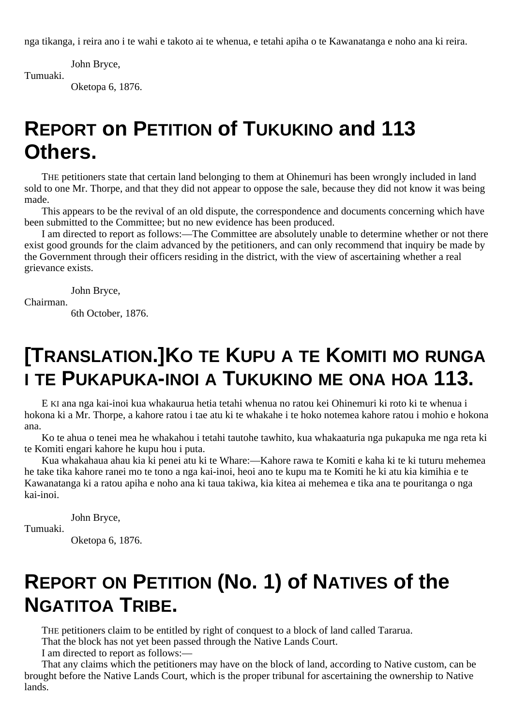nga tikanga, i reira ano i te wahi e takoto ai te whenua, e tetahi apiha o te Kawanatanga e noho ana ki reira.

John Bryce,

Oketopa 6, 1876.

# **REPORT on PETITION of TUKUKINO and 113 Others.**

THE petitioners state that certain land belonging to them at Ohinemuri has been wrongly included in land sold to one Mr. Thorpe, and that they did not appear to oppose the sale, because they did not know it was being made.

This appears to be the revival of an old dispute, the correspondence and documents concerning which have been submitted to the Committee; but no new evidence has been produced.

I am directed to report as follows:—The Committee are absolutely unable to determine whether or not there exist good grounds for the claim advanced by the petitioners, and can only recommend that inquiry be made by the Government through their officers residing in the district, with the view of ascertaining whether a real grievance exists.

John Bryce,

Chairman.

Tumuaki.

6th October, 1876.

## **[TRANSLATION.]KO TE KUPU A TE KOMITI MO RUNGA I TE PUKAPUKA-INOI A TUKUKINO ME ONA HOA 113.**

E KI ana nga kai-inoi kua whakaurua hetia tetahi whenua no ratou kei Ohinemuri ki roto ki te whenua i hokona ki a Mr. Thorpe, a kahore ratou i tae atu ki te whakahe i te hoko notemea kahore ratou i mohio e hokona ana.

Ko te ahua o tenei mea he whakahou i tetahi tautohe tawhito, kua whakaaturia nga pukapuka me nga reta ki te Komiti engari kahore he kupu hou i puta.

Kua whakahaua ahau kia ki penei atu ki te Whare:—Kahore rawa te Komiti e kaha ki te ki tuturu mehemea he take tika kahore ranei mo te tono a nga kai-inoi, heoi ano te kupu ma te Komiti he ki atu kia kimihia e te Kawanatanga ki a ratou apiha e noho ana ki taua takiwa, kia kitea ai mehemea e tika ana te pouritanga o nga kai-inoi.

John Bryce,

Tumuaki.

Oketopa 6, 1876.

# **REPORT ON PETITION (No. 1) of NATIVES of the NGATITOA TRIBE.**

THE petitioners claim to be entitled by right of conquest to a block of land called Tararua.

That the block has not yet been passed through the Native Lands Court.

I am directed to report as follows:—

That any claims which the petitioners may have on the block of land, according to Native custom, can be brought before the Native Lands Court, which is the proper tribunal for ascertaining the ownership to Native lands.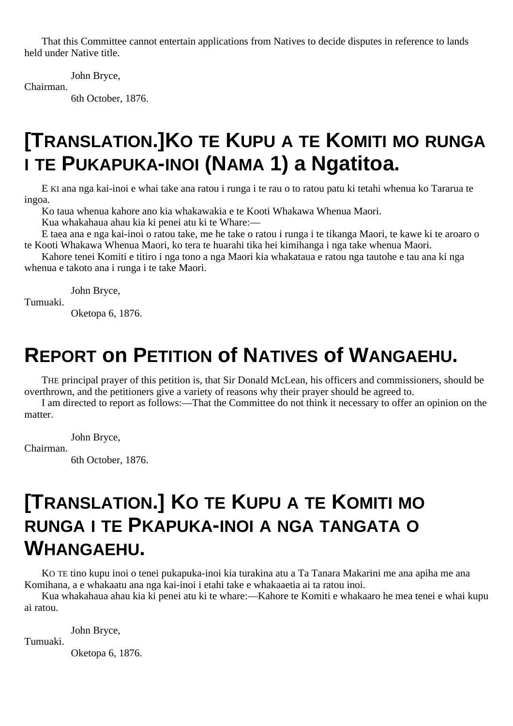That this Committee cannot entertain applications from Natives to decide disputes in reference to lands held under Native title.

John Bryce,

Chairman.

6th October, 1876.

## **[TRANSLATION.]KO TE KUPU A TE KOMITI MO RUNGA I TE PUKAPUKA-INOI (NAMA 1) a Ngatitoa.**

E KI ana nga kai-inoi e whai take ana ratou i runga i te rau o to ratou patu ki tetahi whenua ko Tararua te ingoa.

Ko taua whenua kahore ano kia whakawakia e te Kooti Whakawa Whenua Maori.

Kua whakahaua ahau kia ki penei atu ki te Whare:—

E taea ana e nga kai-inoi o ratou take, me he take o ratou i runga i te tikanga Maori, te kawe ki te aroaro o te Kooti Whakawa Whenua Maori, ko tera te huarahi tika hei kimihanga i nga take whenua Maori.

Kahore tenei Komiti e titiro i nga tono a nga Maori kia whakataua e ratou nga tautohe e tau ana ki nga whenua e takoto ana i runga i te take Maori.

John Bryce,

Tumuaki.

Oketopa 6, 1876.

# **REPORT on PETITION of NATIVES of WANGAEHU.**

THE principal prayer of this petition is, that Sir Donald McLean, his officers and commissioners, should be overthrown, and the petitioners give a variety of reasons why their prayer should be agreed to.

I am directed to report as follows:—That the Committee do not think it necessary to offer an opinion on the matter.

John Bryce,

Chairman.

6th October, 1876.

## **[TRANSLATION.] KO TE KUPU A TE KOMITI MO RUNGA I TE PKAPUKA-INOI A NGA TANGATA O WHANGAEHU.**

KO TE tino kupu inoi o tenei pukapuka-inoi kia turakina atu a Ta Tanara Makarini me ana apiha me ana Komihana, a e whakaatu ana nga kai-inoi i etahi take e whakaaetia ai ta ratou inoi.

Kua whakahaua ahau kia ki penei atu ki te whare:—Kahore te Komiti e whakaaro he mea tenei e whai kupu ai ratou.

John Bryce,

Tumuaki.

Oketopa 6, 1876.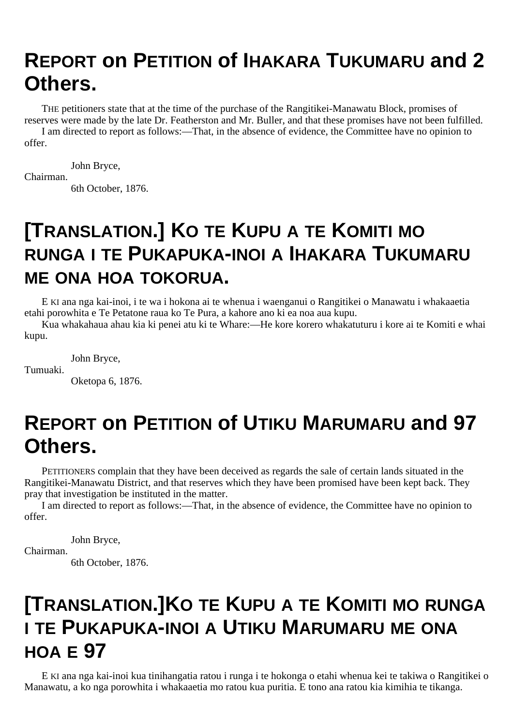## **REPORT on PETITION of IHAKARA TUKUMARU and 2 Others.**

THE petitioners state that at the time of the purchase of the Rangitikei-Manawatu Block, promises of reserves were made by the late Dr. Featherston and Mr. Buller, and that these promises have not been fulfilled. I am directed to report as follows:—That, in the absence of evidence, the Committee have no opinion to

offer.

John Bryce, Chairman. 6th October, 1876.

# **[TRANSLATION.] KO TE KUPU A TE KOMITI MO RUNGA I TE PUKAPUKA-INOI A IHAKARA TUKUMARU ME ONA HOA TOKORUA.**

E KI ana nga kai-inoi, i te wa i hokona ai te whenua i waenganui o Rangitikei o Manawatu i whakaaetia etahi porowhita e Te Petatone raua ko Te Pura, a kahore ano ki ea noa aua kupu.

Kua whakahaua ahau kia ki penei atu ki te Whare:—He kore korero whakatuturu i kore ai te Komiti e whai kupu.

John Bryce,

Tumuaki.

Oketopa 6, 1876.

# **REPORT on PETITION of UTIKU MARUMARU and 97 Others.**

PETITIONERS complain that they have been deceived as regards the sale of certain lands situated in the Rangitikei-Manawatu District, and that reserves which they have been promised have been kept back. They pray that investigation be instituted in the matter.

I am directed to report as follows:—That, in the absence of evidence, the Committee have no opinion to offer.

John Bryce,

Chairman.

6th October, 1876.

# **[TRANSLATION.]KO TE KUPU A TE KOMITI MO RUNGA I TE PUKAPUKA-INOI A UTIKU MARUMARU ME ONA HOA E 97**

E KI ana nga kai-inoi kua tinihangatia ratou i runga i te hokonga o etahi whenua kei te takiwa o Rangitikei o Manawatu, a ko nga porowhita i whakaaetia mo ratou kua puritia. E tono ana ratou kia kimihia te tikanga.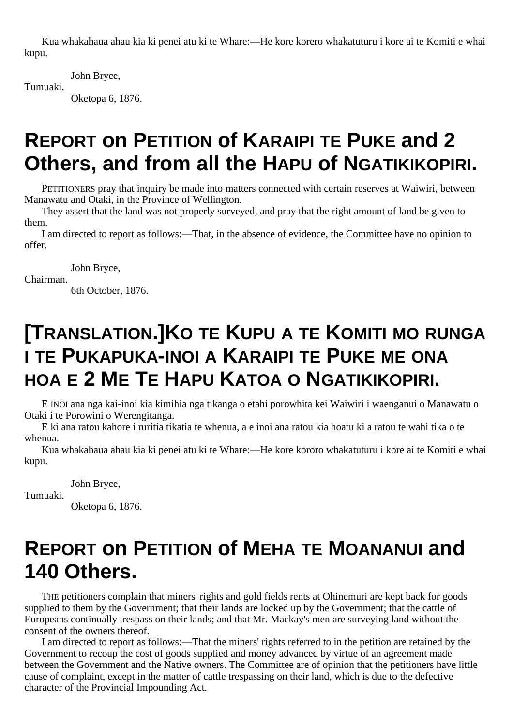Kua whakahaua ahau kia ki penei atu ki te Whare:—He kore korero whakatuturu i kore ai te Komiti e whai kupu.

John Bryce,

Tumuaki.

Oketopa 6, 1876.

# **REPORT on PETITION of KARAIPI TE PUKE and 2 Others, and from all the HAPU of NGATIKIKOPIRI.**

PETITIONERS pray that inquiry be made into matters connected with certain reserves at Waiwiri, between Manawatu and Otaki, in the Province of Wellington.

They assert that the land was not properly surveyed, and pray that the right amount of land be given to them.

I am directed to report as follows:—That, in the absence of evidence, the Committee have no opinion to offer.

John Bryce,

Chairman.

6th October, 1876.

# **[TRANSLATION.]KO TE KUPU A TE KOMITI MO RUNGA I TE PUKAPUKA-INOI A KARAIPI TE PUKE ME ONA HOA E 2 ME TE HAPU KATOA O NGATIKIKOPIRI.**

E INOI ana nga kai-inoi kia kimihia nga tikanga o etahi porowhita kei Waiwiri i waenganui o Manawatu o Otaki i te Porowini o Werengitanga.

E ki ana ratou kahore i ruritia tikatia te whenua, a e inoi ana ratou kia hoatu ki a ratou te wahi tika o te whenua.

Kua whakahaua ahau kia ki penei atu ki te Whare:—He kore kororo whakatuturu i kore ai te Komiti e whai kupu.

John Bryce,

Tumuaki.

Oketopa 6, 1876.

#### **REPORT on PETITION of MEHA TE MOANANUI and 140 Others.**

THE petitioners complain that miners' rights and gold fields rents at Ohinemuri are kept back for goods supplied to them by the Government; that their lands are locked up by the Government; that the cattle of Europeans continually trespass on their lands; and that Mr. Mackay's men are surveying land without the consent of the owners thereof.

I am directed to report as follows:—That the miners' rights referred to in the petition are retained by the Government to recoup the cost of goods supplied and money advanced by virtue of an agreement made between the Government and the Native owners. The Committee are of opinion that the petitioners have little cause of complaint, except in the matter of cattle trespassing on their land, which is due to the defective character of the Provincial Impounding Act.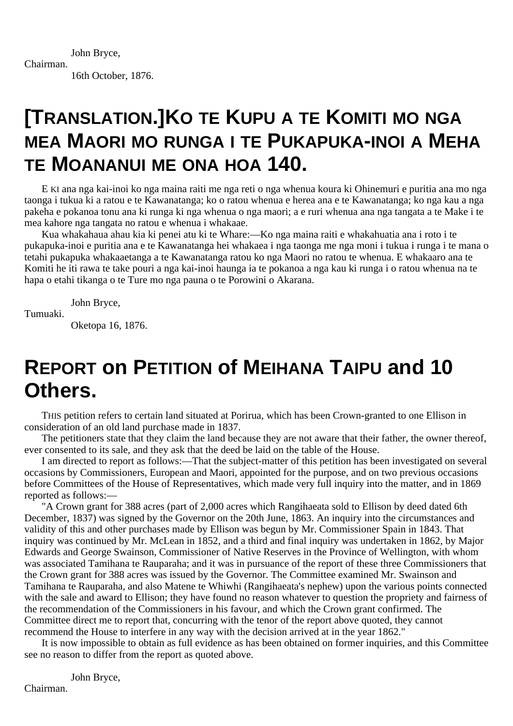John Bryce, Chairman. 16th October, 1876.

## **[TRANSLATION.]KO TE KUPU A TE KOMITI MO NGA MEA MAORI MO RUNGA I TE PUKAPUKA-INOI A MEHA TE MOANANUI ME ONA HOA 140.**

E KI ana nga kai-inoi ko nga maina raiti me nga reti o nga whenua koura ki Ohinemuri e puritia ana mo nga taonga i tukua ki a ratou e te Kawanatanga; ko o ratou whenua e herea ana e te Kawanatanga; ko nga kau a nga pakeha e pokanoa tonu ana ki runga ki nga whenua o nga maori; a e ruri whenua ana nga tangata a te Make i te mea kahore nga tangata no ratou e whenua i whakaae.

Kua whakahaua ahau kia ki penei atu ki te Whare:—Ko nga maina raiti e whakahuatia ana i roto i te pukapuka-inoi e puritia ana e te Kawanatanga hei whakaea i nga taonga me nga moni i tukua i runga i te mana o tetahi pukapuka whakaaetanga a te Kawanatanga ratou ko nga Maori no ratou te whenua. E whakaaro ana te Komiti he iti rawa te take pouri a nga kai-inoi haunga ia te pokanoa a nga kau ki runga i o ratou whenua na te hapa o etahi tikanga o te Ture mo nga pauna o te Porowini o Akarana.

John Bryce,

Tumuaki.

Oketopa 16, 1876.

## **REPORT on PETITION of MEIHANA TAIPU and 10 Others.**

THIS petition refers to certain land situated at Porirua, which has been Crown-granted to one Ellison in consideration of an old land purchase made in 1837.

The petitioners state that they claim the land because they are not aware that their father, the owner thereof, ever consented to its sale, and they ask that the deed be laid on the table of the House.

I am directed to report as follows:—That the subject-matter of this petition has been investigated on several occasions by Commissioners, European and Maori, appointed for the purpose, and on two previous occasions before Committees of the House of Representatives, which made very full inquiry into the matter, and in 1869 reported as follows:—

"A Crown grant for 388 acres (part of 2,000 acres which Rangihaeata sold to Ellison by deed dated 6th December, 1837) was signed by the Governor on the 20th June, 1863. An inquiry into the circumstances and validity of this and other purchases made by Ellison was begun by Mr. Commissioner Spain in 1843. That inquiry was continued by Mr. McLean in 1852, and a third and final inquiry was undertaken in 1862, by Major Edwards and George Swainson, Commissioner of Native Reserves in the Province of Wellington, with whom was associated Tamihana te Rauparaha; and it was in pursuance of the report of these three Commissioners that the Crown grant for 388 acres was issued by the Governor. The Committee examined Mr. Swainson and Tamihana te Rauparaha, and also Matene te Whiwhi (Rangihaeata's nephew) upon the various points connected with the sale and award to Ellison; they have found no reason whatever to question the propriety and fairness of the recommendation of the Commissioners in his favour, and which the Crown grant confirmed. The Committee direct me to report that, concurring with the tenor of the report above quoted, they cannot recommend the House to interfere in any way with the decision arrived at in the year 1862."

It is now impossible to obtain as full evidence as has been obtained on former inquiries, and this Committee see no reason to differ from the report as quoted above.

John Bryce,

Chairman.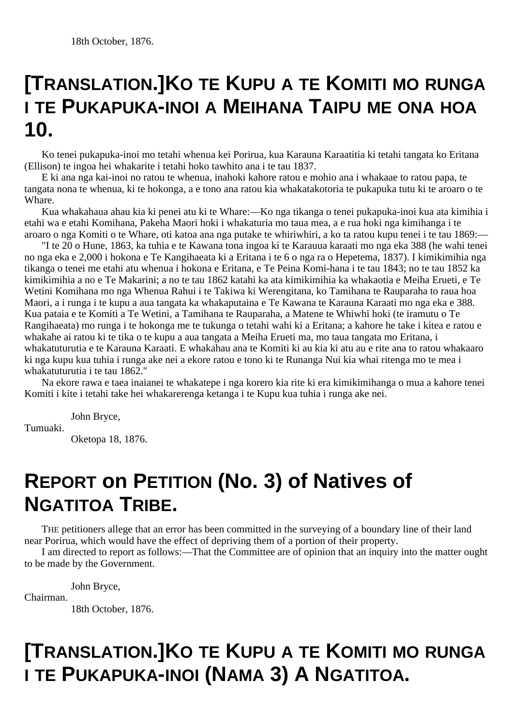## **[TRANSLATION.]KO TE KUPU A TE KOMITI MO RUNGA I TE PUKAPUKA-INOI A MEIHANA TAIPU ME ONA HOA 10.**

Ko tenei pukapuka-inoi mo tetahi whenua kei Porirua, kua Karauna Karaatitia ki tetahi tangata ko Eritana (Ellison) te ingoa hei whakarite i tetahi hoko tawhito ana i te tau 1837.

E ki ana nga kai-inoi no ratou te whenua, inahoki kahore ratou e mohio ana i whakaae to ratou papa, te tangata nona te whenua, ki te hokonga, a e tono ana ratou kia whakatakotoria te pukapuka tutu ki te aroaro o te Whare.

Kua whakahaua ahau kia ki penei atu ki te Whare:—Ko nga tikanga o tenei pukapuka-inoi kua ata kimihia i etahi wa e etahi Komihana, Pakeha Maori hoki i whakaturia mo taua mea, a e rua hoki nga kimihanga i te aroaro o nga Komiti o te Whare, oti katoa ana nga putake te whiriwhiri, a ko ta ratou kupu tenei i te tau 1869:—

"I te 20 o Hune, 1863, ka tuhia e te Kawana tona ingoa ki te Karauua karaati mo nga eka 388 (he wahi tenei no nga eka e 2,000 i hokona e Te Kangihaeata ki a Eritana i te 6 o nga ra o Hepetema, 1837). I kimikimihia nga tikanga o tenei me etahi atu whenua i hokona e Eritana, e Te Peina Komi-hana i te tau 1843; no te tau 1852 ka kimikimihia a no e Te Makarini; a no te tau 1862 katahi ka ata kimikimihia ka whakaotia e Meiha Erueti, e Te Wetini Komihana mo nga Whenua Rahui i te Takiwa ki Werengitana, ko Tamihana te Rauparaha to raua hoa Maori, a i runga i te kupu a aua tangata ka whakaputaina e Te Kawana te Karauna Karaati mo nga eka e 388. Kua pataia e te Komiti a Te Wetini, a Tamihana te Rauparaha, a Matene te Whiwhi hoki (te iramutu o Te Rangihaeata) mo runga i te hokonga me te tukunga o tetahi wahi ki a Eritana; a kahore he take i kitea e ratou e whakahe ai ratou ki te tika o te kupu a aua tangata a Meiha Erueti ma, mo taua tangata mo Eritana, i whakatuturutia e te Karauna Karaati. E whakahau ana te Komiti ki au kia ki atu au e rite ana to ratou whakaaro ki nga kupu kua tuhia i runga ake nei a ekore ratou e tono ki te Runanga Nui kia whai ritenga mo te mea i whakatuturutia i te tau 1862."

Na ekore rawa e taea inaianei te whakatepe i nga korero kia rite ki era kimikimihanga o mua a kahore tenei Komiti i kite i tetahi take hei whakarerenga ketanga i te Kupu kua tuhia i runga ake nei.

John Bryce,

Tumuaki.

Oketopa 18, 1876.

# **REPORT on PETITION (No. 3) of Natives of NGATITOA TRIBE.**

THE petitioners allege that an error has been committed in the surveying of a boundary line of their land near Porirua, which would have the effect of depriving them of a portion of their property.

I am directed to report as follows:—That the Committee are of opinion that an inquiry into the matter ought to be made by the Government.

John Bryce, Chairman. 18th October, 1876.

## **[TRANSLATION.]KO TE KUPU A TE KOMITI MO RUNGA I TE PUKAPUKA-INOI (NAMA 3) A NGATITOA.**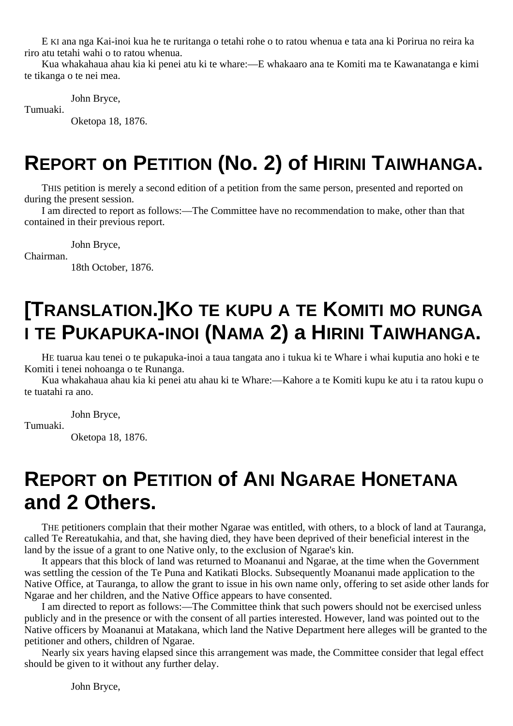E KI ana nga Kai-inoi kua he te ruritanga o tetahi rohe o to ratou whenua e tata ana ki Porirua no reira ka riro atu tetahi wahi o to ratou whenua.

Kua whakahaua ahau kia ki penei atu ki te whare:—E whakaaro ana te Komiti ma te Kawanatanga e kimi te tikanga o te nei mea.

John Bryce,

Tumuaki.

Oketopa 18, 1876.

# **REPORT on PETITION (No. 2) of HIRINI TAIWHANGA.**

THIS petition is merely a second edition of a petition from the same person, presented and reported on during the present session.

I am directed to report as follows:—The Committee have no recommendation to make, other than that contained in their previous report.

John Bryce,

Chairman.

18th October, 1876.

# **[TRANSLATION.]KO TE KUPU A TE KOMITI MO RUNGA I TE PUKAPUKA-INOI (NAMA 2) a HIRINI TAIWHANGA.**

HE tuarua kau tenei o te pukapuka-inoi a taua tangata ano i tukua ki te Whare i whai kuputia ano hoki e te Komiti i tenei nohoanga o te Runanga.

Kua whakahaua ahau kia ki penei atu ahau ki te Whare:—Kahore a te Komiti kupu ke atu i ta ratou kupu o te tuatahi ra ano.

John Bryce,

Tumuaki.

Oketopa 18, 1876.

## **REPORT on PETITION of ANI NGARAE HONETANA and 2 Others.**

THE petitioners complain that their mother Ngarae was entitled, with others, to a block of land at Tauranga, called Te Rereatukahia, and that, she having died, they have been deprived of their beneficial interest in the land by the issue of a grant to one Native only, to the exclusion of Ngarae's kin.

It appears that this block of land was returned to Moananui and Ngarae, at the time when the Government was settling the cession of the Te Puna and Katikati Blocks. Subsequently Moananui made application to the Native Office, at Tauranga, to allow the grant to issue in his own name only, offering to set aside other lands for Ngarae and her children, and the Native Office appears to have consented.

I am directed to report as follows:—The Committee think that such powers should not be exercised unless publicly and in the presence or with the consent of all parties interested. However, land was pointed out to the Native officers by Moananui at Matakana, which land the Native Department here alleges will be granted to the petitioner and others, children of Ngarae.

Nearly six years having elapsed since this arrangement was made, the Committee consider that legal effect should be given to it without any further delay.

John Bryce,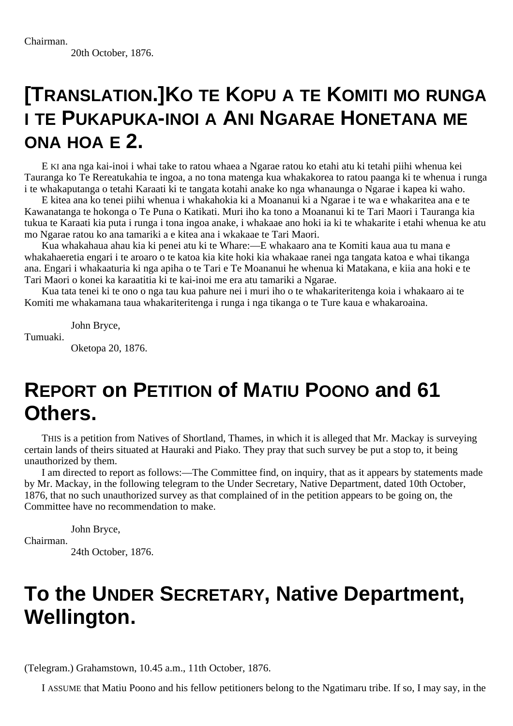20th October, 1876.

#### **[TRANSLATION.]KO TE KOPU A TE KOMITI MO RUNGA I TE PUKAPUKA-INOI A ANI NGARAE HONETANA ME ONA HOA E 2.**

E KI ana nga kai-inoi i whai take to ratou whaea a Ngarae ratou ko etahi atu ki tetahi piihi whenua kei Tauranga ko Te Rereatukahia te ingoa, a no tona matenga kua whakakorea to ratou paanga ki te whenua i runga i te whakaputanga o tetahi Karaati ki te tangata kotahi anake ko nga whanaunga o Ngarae i kapea ki waho.

E kitea ana ko tenei piihi whenua i whakahokia ki a Moananui ki a Ngarae i te wa e whakaritea ana e te Kawanatanga te hokonga o Te Puna o Katikati. Muri iho ka tono a Moananui ki te Tari Maori i Tauranga kia tukua te Karaati kia puta i runga i tona ingoa anake, i whakaae ano hoki ia ki te whakarite i etahi whenua ke atu mo Ngarae ratou ko ana tamariki a e kitea ana i wkakaae te Tari Maori.

Kua whakahaua ahau kia ki penei atu ki te Whare:—E whakaaro ana te Komiti kaua aua tu mana e whakahaeretia engari i te aroaro o te katoa kia kite hoki kia whakaae ranei nga tangata katoa e whai tikanga ana. Engari i whakaaturia ki nga apiha o te Tari e Te Moananui he whenua ki Matakana, e kiia ana hoki e te Tari Maori o konei ka karaatitia ki te kai-inoi me era atu tamariki a Ngarae.

Kua tata tenei ki te ono o nga tau kua pahure nei i muri iho o te whakariteritenga koia i whakaaro ai te Komiti me whakamana taua whakariteritenga i runga i nga tikanga o te Ture kaua e whakaroaina.

John Bryce,

Tumuaki.

Oketopa 20, 1876.

#### **REPORT on PETITION of MATIU POONO and 61 Others.**

THIS is a petition from Natives of Shortland, Thames, in which it is alleged that Mr. Mackay is surveying certain lands of theirs situated at Hauraki and Piako. They pray that such survey be put a stop to, it being unauthorized by them.

I am directed to report as follows:—The Committee find, on inquiry, that as it appears by statements made by Mr. Mackay, in the following telegram to the Under Secretary, Native Department, dated 10th October, 1876, that no such unauthorized survey as that complained of in the petition appears to be going on, the Committee have no recommendation to make.

John Bryce, Chairman. 24th October, 1876.

# **To the UNDER SECRETARY, Native Department, Wellington.**

(Telegram.) Grahamstown, 10.45 a.m., 11th October, 1876.

I ASSUME that Matiu Poono and his fellow petitioners belong to the Ngatimaru tribe. If so, I may say, in the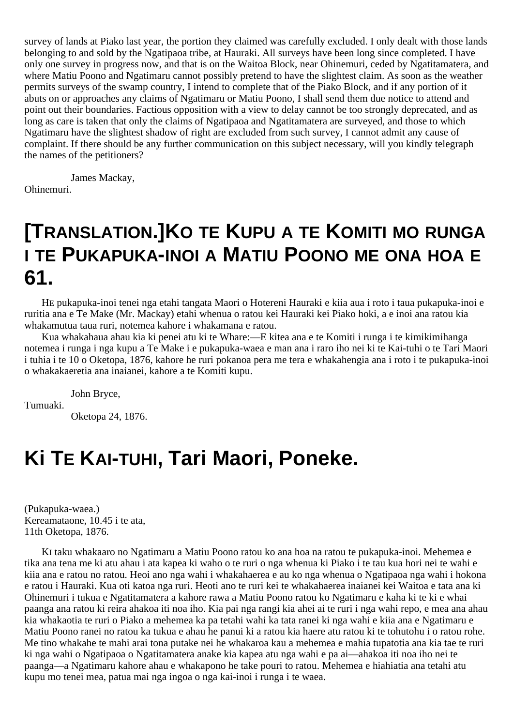survey of lands at Piako last year, the portion they claimed was carefully excluded. I only dealt with those lands belonging to and sold by the Ngatipaoa tribe, at Hauraki. All surveys have been long since completed. I have only one survey in progress now, and that is on the Waitoa Block, near Ohinemuri, ceded by Ngatitamatera, and where Matiu Poono and Ngatimaru cannot possibly pretend to have the slightest claim. As soon as the weather permits surveys of the swamp country, I intend to complete that of the Piako Block, and if any portion of it abuts on or approaches any claims of Ngatimaru or Matiu Poono, I shall send them due notice to attend and point out their boundaries. Factious opposition with a view to delay cannot be too strongly deprecated, and as long as care is taken that only the claims of Ngatipaoa and Ngatitamatera are surveyed, and those to which Ngatimaru have the slightest shadow of right are excluded from such survey, I cannot admit any cause of complaint. If there should be any further communication on this subject necessary, will you kindly telegraph the names of the petitioners?

James Mackay, Ohinemuri.

## **[TRANSLATION.]KO TE KUPU A TE KOMITI MO RUNGA I TE PUKAPUKA-INOI A MATIU POONO ME ONA HOA E 61.**

HE pukapuka-inoi tenei nga etahi tangata Maori o Hotereni Hauraki e kiia aua i roto i taua pukapuka-inoi e ruritia ana e Te Make (Mr. Mackay) etahi whenua o ratou kei Hauraki kei Piako hoki, a e inoi ana ratou kia whakamutua taua ruri, notemea kahore i whakamana e ratou.

Kua whakahaua ahau kia ki penei atu ki te Whare:—E kitea ana e te Komiti i runga i te kimikimihanga notemea i runga i nga kupu a Te Make i e pukapuka-waea e man ana i raro iho nei ki te Kai-tuhi o te Tari Maori i tuhia i te 10 o Oketopa, 1876, kahore he ruri pokanoa pera me tera e whakahengia ana i roto i te pukapuka-inoi o whakakaeretia ana inaianei, kahore a te Komiti kupu.

John Bryce,

Tumuaki.

Oketopa 24, 1876.

# **Ki TE KAI-TUHI, Tari Maori, Poneke.**

(Pukapuka-waea.) Kereamataone, 10.45 i te ata, 11th Oketopa, 1876.

KI taku whakaaro no Ngatimaru a Matiu Poono ratou ko ana hoa na ratou te pukapuka-inoi. Mehemea e tika ana tena me ki atu ahau i ata kapea ki waho o te ruri o nga whenua ki Piako i te tau kua hori nei te wahi e kiia ana e ratou no ratou. Heoi ano nga wahi i whakahaerea e au ko nga whenua o Ngatipaoa nga wahi i hokona e ratou i Hauraki. Kua oti katoa nga ruri. Heoti ano te ruri kei te whakahaerea inaianei kei Waitoa e tata ana ki Ohinemuri i tukua e Ngatitamatera a kahore rawa a Matiu Poono ratou ko Ngatimaru e kaha ki te ki e whai paanga ana ratou ki reira ahakoa iti noa iho. Kia pai nga rangi kia ahei ai te ruri i nga wahi repo, e mea ana ahau kia whakaotia te ruri o Piako a mehemea ka pa tetahi wahi ka tata ranei ki nga wahi e kiia ana e Ngatimaru e Matiu Poono ranei no ratou ka tukua e ahau he panui ki a ratou kia haere atu ratou ki te tohutohu i o ratou rohe. Me tino whakahe te mahi arai tona putake nei he whakaroa kau a mehemea e mahia tupatotia ana kia tae te ruri ki nga wahi o Ngatipaoa o Ngatitamatera anake kia kapea atu nga wahi e pa ai—ahakoa iti noa iho nei te paanga—a Ngatimaru kahore ahau e whakapono he take pouri to ratou. Mehemea e hiahiatia ana tetahi atu kupu mo tenei mea, patua mai nga ingoa o nga kai-inoi i runga i te waea.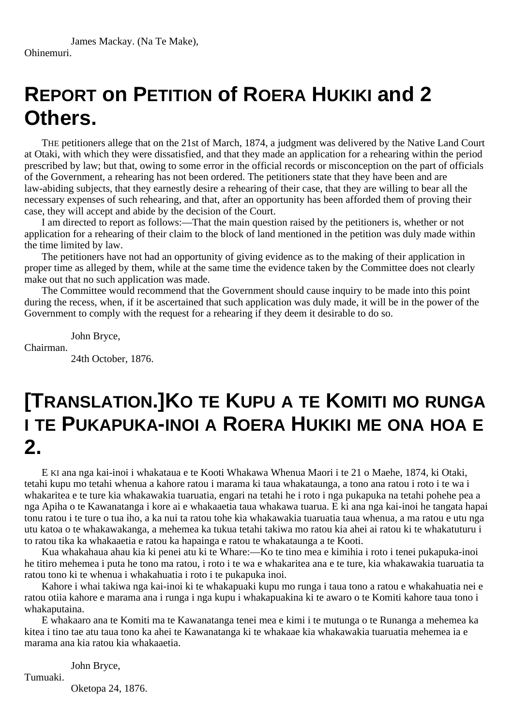# **REPORT on PETITION of ROERA HUKIKI and 2 Others.**

THE petitioners allege that on the 21st of March, 1874, a judgment was delivered by the Native Land Court at Otaki, with which they were dissatisfied, and that they made an application for a rehearing within the period prescribed by law; but that, owing to some error in the official records or misconception on the part of officials of the Government, a rehearing has not been ordered. The petitioners state that they have been and are law-abiding subjects, that they earnestly desire a rehearing of their case, that they are willing to bear all the necessary expenses of such rehearing, and that, after an opportunity has been afforded them of proving their case, they will accept and abide by the decision of the Court.

I am directed to report as follows:—That the main question raised by the petitioners is, whether or not application for a rehearing of their claim to the block of land mentioned in the petition was duly made within the time limited by law.

The petitioners have not had an opportunity of giving evidence as to the making of their application in proper time as alleged by them, while at the same time the evidence taken by the Committee does not clearly make out that no such application was made.

The Committee would recommend that the Government should cause inquiry to be made into this point during the recess, when, if it be ascertained that such application was duly made, it will be in the power of the Government to comply with the request for a rehearing if they deem it desirable to do so.

John Bryce,

Chairman.

24th October, 1876.

## **[TRANSLATION.]KO TE KUPU A TE KOMITI MO RUNGA I TE PUKAPUKA-INOI A ROERA HUKIKI ME ONA HOA E 2.**

E KI ana nga kai-inoi i whakataua e te Kooti Whakawa Whenua Maori i te 21 o Maehe, 1874, ki Otaki, tetahi kupu mo tetahi whenua a kahore ratou i marama ki taua whakataunga, a tono ana ratou i roto i te wa i whakaritea e te ture kia whakawakia tuaruatia, engari na tetahi he i roto i nga pukapuka na tetahi pohehe pea a nga Apiha o te Kawanatanga i kore ai e whakaaetia taua whakawa tuarua. E ki ana nga kai-inoi he tangata hapai tonu ratou i te ture o tua iho, a ka nui ta ratou tohe kia whakawakia tuaruatia taua whenua, a ma ratou e utu nga utu katoa o te whakawakanga, a mehemea ka tukua tetahi takiwa mo ratou kia ahei ai ratou ki te whakatuturu i to ratou tika ka whakaaetia e ratou ka hapainga e ratou te whakataunga a te Kooti.

Kua whakahaua ahau kia ki penei atu ki te Whare:—Ko te tino mea e kimihia i roto i tenei pukapuka-inoi he titiro mehemea i puta he tono ma ratou, i roto i te wa e whakaritea ana e te ture, kia whakawakia tuaruatia ta ratou tono ki te whenua i whakahuatia i roto i te pukapuka inoi.

Kahore i whai takiwa nga kai-inoi ki te whakapuaki kupu mo runga i taua tono a ratou e whakahuatia nei e ratou otiia kahore e marama ana i runga i nga kupu i whakapuakina ki te awaro o te Komiti kahore taua tono i whakaputaina.

E whakaaro ana te Komiti ma te Kawanatanga tenei mea e kimi i te mutunga o te Runanga a mehemea ka kitea i tino tae atu taua tono ka ahei te Kawanatanga ki te whakaae kia whakawakia tuaruatia mehemea ia e marama ana kia ratou kia whakaaetia.

John Bryce,

Tumuaki.

Oketopa 24, 1876.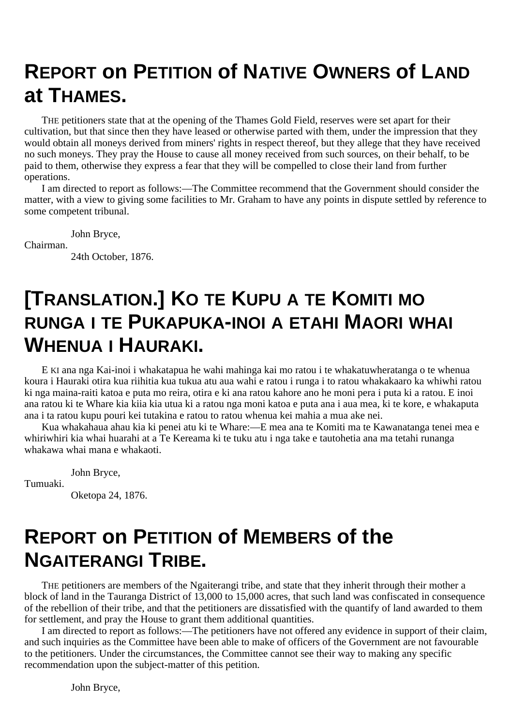## **REPORT on PETITION of NATIVE OWNERS of LAND at THAMES.**

THE petitioners state that at the opening of the Thames Gold Field, reserves were set apart for their cultivation, but that since then they have leased or otherwise parted with them, under the impression that they would obtain all moneys derived from miners' rights in respect thereof, but they allege that they have received no such moneys. They pray the House to cause all money received from such sources, on their behalf, to be paid to them, otherwise they express a fear that they will be compelled to close their land from further operations.

I am directed to report as follows:—The Committee recommend that the Government should consider the matter, with a view to giving some facilities to Mr. Graham to have any points in dispute settled by reference to some competent tribunal.

John Bryce,

Chairman.

24th October, 1876.

# **[TRANSLATION.] KO TE KUPU A TE KOMITI MO RUNGA I TE PUKAPUKA-INOI A ETAHI MAORI WHAI WHENUA I HAURAKI.**

E KI ana nga Kai-inoi i whakatapua he wahi mahinga kai mo ratou i te whakatuwheratanga o te whenua koura i Hauraki otira kua riihitia kua tukua atu aua wahi e ratou i runga i to ratou whakakaaro ka whiwhi ratou ki nga maina-raiti katoa e puta mo reira, otira e ki ana ratou kahore ano he moni pera i puta ki a ratou. E inoi ana ratou ki te Whare kia kiia kia utua ki a ratou nga moni katoa e puta ana i aua mea, ki te kore, e whakaputa ana i ta ratou kupu pouri kei tutakina e ratou to ratou whenua kei mahia a mua ake nei.

Kua whakahaua ahau kia ki penei atu ki te Whare:—E mea ana te Komiti ma te Kawanatanga tenei mea e whiriwhiri kia whai huarahi at a Te Kereama ki te tuku atu i nga take e tautohetia ana ma tetahi runanga whakawa whai mana e whakaoti.

John Bryce,

Tumuaki.

Oketopa 24, 1876.

## **REPORT on PETITION of MEMBERS of the NGAITERANGI TRIBE.**

THE petitioners are members of the Ngaiterangi tribe, and state that they inherit through their mother a block of land in the Tauranga District of 13,000 to 15,000 acres, that such land was confiscated in consequence of the rebellion of their tribe, and that the petitioners are dissatisfied with the quantify of land awarded to them for settlement, and pray the House to grant them additional quantities.

I am directed to report as follows:—The petitioners have not offered any evidence in support of their claim, and such inquiries as the Committee have been able to make of officers of the Government are not favourable to the petitioners. Under the circumstances, the Committee cannot see their way to making any specific recommendation upon the subject-matter of this petition.

John Bryce,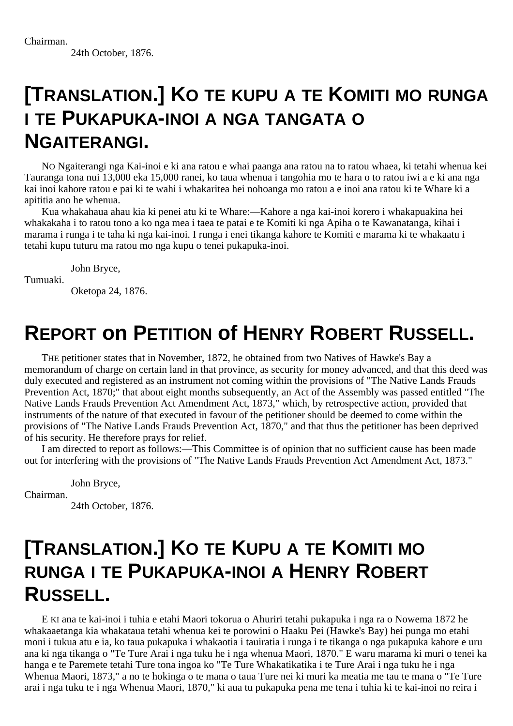24th October, 1876.

#### **[TRANSLATION.] KO TE KUPU A TE KOMITI MO RUNGA I TE PUKAPUKA-INOI A NGA TANGATA O NGAITERANGI.**

NO Ngaiterangi nga Kai-inoi e ki ana ratou e whai paanga ana ratou na to ratou whaea, ki tetahi whenua kei Tauranga tona nui 13,000 eka 15,000 ranei, ko taua whenua i tangohia mo te hara o to ratou iwi a e ki ana nga kai inoi kahore ratou e pai ki te wahi i whakaritea hei nohoanga mo ratou a e inoi ana ratou ki te Whare ki a apititia ano he whenua.

Kua whakahaua ahau kia ki penei atu ki te Whare:—Kahore a nga kai-inoi korero i whakapuakina hei whakakaha i to ratou tono a ko nga mea i taea te patai e te Komiti ki nga Apiha o te Kawanatanga, kihai i marama i runga i te taha ki nga kai-inoi. I runga i enei tikanga kahore te Komiti e marama ki te whakaatu i tetahi kupu tuturu ma ratou mo nga kupu o tenei pukapuka-inoi.

John Bryce,

Tumuaki.

Oketopa 24, 1876.

# **REPORT on PETITION of HENRY ROBERT RUSSELL.**

THE petitioner states that in November, 1872, he obtained from two Natives of Hawke's Bay a memorandum of charge on certain land in that province, as security for money advanced, and that this deed was duly executed and registered as an instrument not coming within the provisions of "The Native Lands Frauds Prevention Act, 1870;" that about eight months subsequently, an Act of the Assembly was passed entitled "The Native Lands Frauds Prevention Act Amendment Act, 1873," which, by retrospective action, provided that instruments of the nature of that executed in favour of the petitioner should be deemed to come within the provisions of "The Native Lands Frauds Prevention Act, 1870," and that thus the petitioner has been deprived of his security. He therefore prays for relief.

I am directed to report as follows:—This Committee is of opinion that no sufficient cause has been made out for interfering with the provisions of "The Native Lands Frauds Prevention Act Amendment Act, 1873."

John Bryce, Chairman. 24th October, 1876.

## **[TRANSLATION.] KO TE KUPU A TE KOMITI MO RUNGA I TE PUKAPUKA-INOI A HENRY ROBERT RUSSELL.**

E KI ana te kai-inoi i tuhia e etahi Maori tokorua o Ahuriri tetahi pukapuka i nga ra o Nowema 1872 he whakaaetanga kia whakataua tetahi whenua kei te porowini o Haaku Pei (Hawke's Bay) hei punga mo etahi moni i tukua atu e ia, ko taua pukapuka i whakaotia i tauiratia i runga i te tikanga o nga pukapuka kahore e uru ana ki nga tikanga o "Te Ture Arai i nga tuku he i nga whenua Maori, 1870." E waru marama ki muri o tenei ka hanga e te Paremete tetahi Ture tona ingoa ko "Te Ture Whakatikatika i te Ture Arai i nga tuku he i nga Whenua Maori, 1873," a no te hokinga o te mana o taua Ture nei ki muri ka meatia me tau te mana o "Te Ture arai i nga tuku te i nga Whenua Maori, 1870," ki aua tu pukapuka pena me tena i tuhia ki te kai-inoi no reira i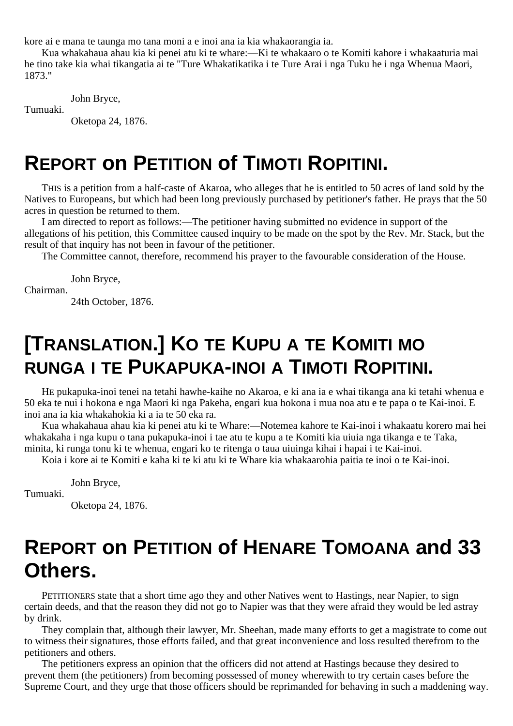kore ai e mana te taunga mo tana moni a e inoi ana ia kia whakaorangia ia.

Kua whakahaua ahau kia ki penei atu ki te whare:—Ki te whakaaro o te Komiti kahore i whakaaturia mai he tino take kia whai tikangatia ai te "Ture Whakatikatika i te Ture Arai i nga Tuku he i nga Whenua Maori, 1873."

John Bryce,

Tumuaki.

Oketopa 24, 1876.

#### **REPORT on PETITION of TIMOTI ROPITINI.**

THIS is a petition from a half-caste of Akaroa, who alleges that he is entitled to 50 acres of land sold by the Natives to Europeans, but which had been long previously purchased by petitioner's father. He prays that the 50 acres in question be returned to them.

I am directed to report as follows:—The petitioner having submitted no evidence in support of the allegations of his petition, this Committee caused inquiry to be made on the spot by the Rev. Mr. Stack, but the result of that inquiry has not been in favour of the petitioner.

The Committee cannot, therefore, recommend his prayer to the favourable consideration of the House.

John Bryce,

Chairman.

24th October, 1876.

#### **[TRANSLATION.] KO TE KUPU A TE KOMITI MO RUNGA I TE PUKAPUKA-INOI A TIMOTI ROPITINI.**

HE pukapuka-inoi tenei na tetahi hawhe-kaihe no Akaroa, e ki ana ia e whai tikanga ana ki tetahi whenua e 50 eka te nui i hokona e nga Maori ki nga Pakeha, engari kua hokona i mua noa atu e te papa o te Kai-inoi. E inoi ana ia kia whakahokia ki a ia te 50 eka ra.

Kua whakahaua ahau kia ki penei atu ki te Whare:—Notemea kahore te Kai-inoi i whakaatu korero mai hei whakakaha i nga kupu o tana pukapuka-inoi i tae atu te kupu a te Komiti kia uiuia nga tikanga e te Taka, minita, ki runga tonu ki te whenua, engari ko te ritenga o taua uiuinga kihai i hapai i te Kai-inoi.

Koia i kore ai te Komiti e kaha ki te ki atu ki te Whare kia whakaarohia paitia te inoi o te Kai-inoi.

John Bryce,

Tumuaki.

Oketopa 24, 1876.

#### **REPORT on PETITION of HENARE TOMOANA and 33 Others.**

PETITIONERS state that a short time ago they and other Natives went to Hastings, near Napier, to sign certain deeds, and that the reason they did not go to Napier was that they were afraid they would be led astray by drink.

They complain that, although their lawyer, Mr. Sheehan, made many efforts to get a magistrate to come out to witness their signatures, those efforts failed, and that great inconvenience and loss resulted therefrom to the petitioners and others.

The petitioners express an opinion that the officers did not attend at Hastings because they desired to prevent them (the petitioners) from becoming possessed of money wherewith to try certain cases before the Supreme Court, and they urge that those officers should be reprimanded for behaving in such a maddening way.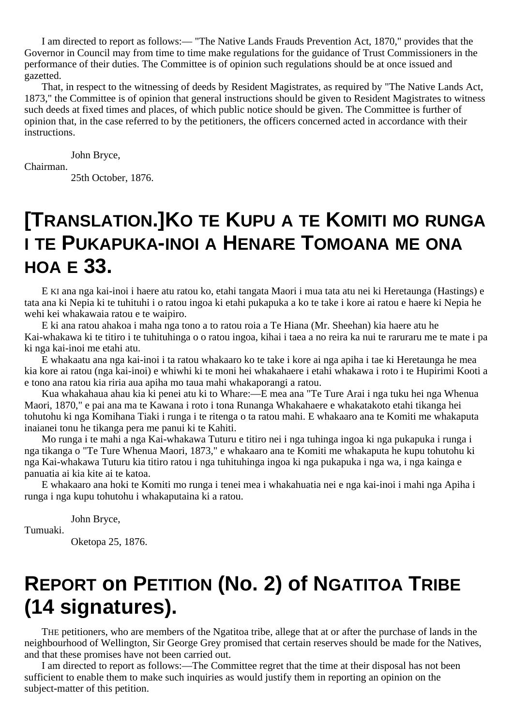I am directed to report as follows:— "The Native Lands Frauds Prevention Act, 1870," provides that the Governor in Council may from time to time make regulations for the guidance of Trust Commissioners in the performance of their duties. The Committee is of opinion such regulations should be at once issued and gazetted.

That, in respect to the witnessing of deeds by Resident Magistrates, as required by "The Native Lands Act, 1873," the Committee is of opinion that general instructions should be given to Resident Magistrates to witness such deeds at fixed times and places, of which public notice should be given. The Committee is further of opinion that, in the case referred to by the petitioners, the officers concerned acted in accordance with their instructions.

John Bryce,

Chairman.

25th October, 1876.

#### **[TRANSLATION.]KO TE KUPU A TE KOMITI MO RUNGA I TE PUKAPUKA-INOI A HENARE TOMOANA ME ONA HOA E 33.**

E KI ana nga kai-inoi i haere atu ratou ko, etahi tangata Maori i mua tata atu nei ki Heretaunga (Hastings) e tata ana ki Nepia ki te tuhituhi i o ratou ingoa ki etahi pukapuka a ko te take i kore ai ratou e haere ki Nepia he wehi kei whakawaia ratou e te waipiro.

E ki ana ratou ahakoa i maha nga tono a to ratou roia a Te Hiana (Mr. Sheehan) kia haere atu he Kai-whakawa ki te titiro i te tuhituhinga o o ratou ingoa, kihai i taea a no reira ka nui te raruraru me te mate i pa ki nga kai-inoi me etahi atu.

E whakaatu ana nga kai-inoi i ta ratou whakaaro ko te take i kore ai nga apiha i tae ki Heretaunga he mea kia kore ai ratou (nga kai-inoi) e whiwhi ki te moni hei whakahaere i etahi whakawa i roto i te Hupirimi Kooti a e tono ana ratou kia riria aua apiha mo taua mahi whakaporangi a ratou.

Kua whakahaua ahau kia ki penei atu ki to Whare:—E mea ana "Te Ture Arai i nga tuku hei nga Whenua Maori, 1870," e pai ana ma te Kawana i roto i tona Runanga Whakahaere e whakatakoto etahi tikanga hei tohutohu ki nga Komihana Tiaki i runga i te ritenga o ta ratou mahi. E whakaaro ana te Komiti me whakaputa inaianei tonu he tikanga pera me panui ki te Kahiti.

Mo runga i te mahi a nga Kai-whakawa Tuturu e titiro nei i nga tuhinga ingoa ki nga pukapuka i runga i nga tikanga o "Te Ture Whenua Maori, 1873," e whakaaro ana te Komiti me whakaputa he kupu tohutohu ki nga Kai-whakawa Tuturu kia titiro ratou i nga tuhituhinga ingoa ki nga pukapuka i nga wa, i nga kainga e panuatia ai kia kite ai te katoa.

E whakaaro ana hoki te Komiti mo runga i tenei mea i whakahuatia nei e nga kai-inoi i mahi nga Apiha i runga i nga kupu tohutohu i whakaputaina ki a ratou.

John Bryce,

Tumuaki.

Oketopa 25, 1876.

# **REPORT on PETITION (No. 2) of NGATITOA TRIBE (14 signatures).**

THE petitioners, who are members of the Ngatitoa tribe, allege that at or after the purchase of lands in the neighbourhood of Wellington, Sir George Grey promised that certain reserves should be made for the Natives, and that these promises have not been carried out.

I am directed to report as follows:—The Committee regret that the time at their disposal has not been sufficient to enable them to make such inquiries as would justify them in reporting an opinion on the subject-matter of this petition.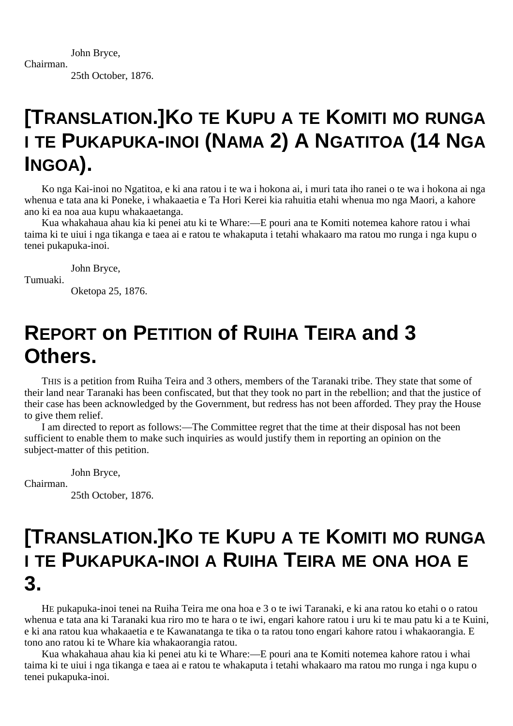John Bryce, Chairman. 25th October, 1876.

## **[TRANSLATION.]KO TE KUPU A TE KOMITI MO RUNGA I TE PUKAPUKA-INOI (NAMA 2) A NGATITOA (14 NGA INGOA).**

Ko nga Kai-inoi no Ngatitoa, e ki ana ratou i te wa i hokona ai, i muri tata iho ranei o te wa i hokona ai nga whenua e tata ana ki Poneke, i whakaaetia e Ta Hori Kerei kia rahuitia etahi whenua mo nga Maori, a kahore ano ki ea noa aua kupu whakaaetanga.

Kua whakahaua ahau kia ki penei atu ki te Whare:—E pouri ana te Komiti notemea kahore ratou i whai taima ki te uiui i nga tikanga e taea ai e ratou te whakaputa i tetahi whakaaro ma ratou mo runga i nga kupu o tenei pukapuka-inoi.

John Bryce,

Tumuaki.

Oketopa 25, 1876.

# **REPORT on PETITION of RUIHA TEIRA and 3 Others.**

THIS is a petition from Ruiha Teira and 3 others, members of the Taranaki tribe. They state that some of their land near Taranaki has been confiscated, but that they took no part in the rebellion; and that the justice of their case has been acknowledged by the Government, but redress has not been afforded. They pray the House to give them relief.

I am directed to report as follows:—The Committee regret that the time at their disposal has not been sufficient to enable them to make such inquiries as would justify them in reporting an opinion on the subject-matter of this petition.

John Bryce,

Chairman.

25th October, 1876.

# **[TRANSLATION.]KO TE KUPU A TE KOMITI MO RUNGA I TE PUKAPUKA-INOI A RUIHA TEIRA ME ONA HOA E 3.**

HE pukapuka-inoi tenei na Ruiha Teira me ona hoa e 3 o te iwi Taranaki, e ki ana ratou ko etahi o o ratou whenua e tata ana ki Taranaki kua riro mo te hara o te iwi, engari kahore ratou i uru ki te mau patu ki a te Kuini, e ki ana ratou kua whakaaetia e te Kawanatanga te tika o ta ratou tono engari kahore ratou i whakaorangia. E tono ano ratou ki te Whare kia whakaorangia ratou.

Kua whakahaua ahau kia ki penei atu ki te Whare:—E pouri ana te Komiti notemea kahore ratou i whai taima ki te uiui i nga tikanga e taea ai e ratou te whakaputa i tetahi whakaaro ma ratou mo runga i nga kupu o tenei pukapuka-inoi.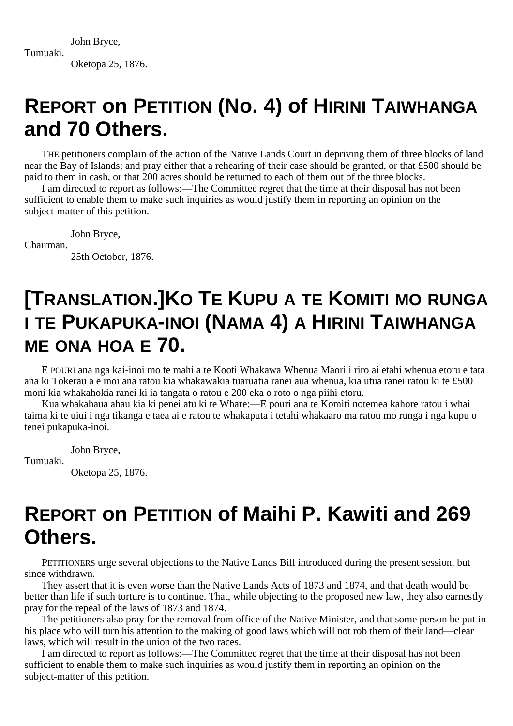John Bryce, Tumuaki. Oketopa 25, 1876.

## **REPORT on PETITION (No. 4) of HIRINI TAIWHANGA and 70 Others.**

THE petitioners complain of the action of the Native Lands Court in depriving them of three blocks of land near the Bay of Islands; and pray either that a rehearing of their case should be granted, or that £500 should be paid to them in cash, or that 200 acres should be returned to each of them out of the three blocks.

I am directed to report as follows:—The Committee regret that the time at their disposal has not been sufficient to enable them to make such inquiries as would justify them in reporting an opinion on the subject-matter of this petition.

John Bryce, Chairman.

25th October, 1876.

# **[TRANSLATION.]KO TE KUPU A TE KOMITI MO RUNGA I TE PUKAPUKA-INOI (NAMA 4) A HIRINI TAIWHANGA ME ONA HOA E 70.**

E POURI ana nga kai-inoi mo te mahi a te Kooti Whakawa Whenua Maori i riro ai etahi whenua etoru e tata ana ki Tokerau a e inoi ana ratou kia whakawakia tuaruatia ranei aua whenua, kia utua ranei ratou ki te £500 moni kia whakahokia ranei ki ia tangata o ratou e 200 eka o roto o nga piihi etoru.

Kua whakahaua ahau kia ki penei atu ki te Whare:—E pouri ana te Komiti notemea kahore ratou i whai taima ki te uiui i nga tikanga e taea ai e ratou te whakaputa i tetahi whakaaro ma ratou mo runga i nga kupu o tenei pukapuka-inoi.

John Bryce,

Tumuaki.

Oketopa 25, 1876.

# **REPORT on PETITION of Maihi P. Kawiti and 269 Others.**

PETITIONERS urge several objections to the Native Lands Bill introduced during the present session, but since withdrawn.

They assert that it is even worse than the Native Lands Acts of 1873 and 1874, and that death would be better than life if such torture is to continue. That, while objecting to the proposed new law, they also earnestly pray for the repeal of the laws of 1873 and 1874.

The petitioners also pray for the removal from office of the Native Minister, and that some person be put in his place who will turn his attention to the making of good laws which will not rob them of their land—clear laws, which will result in the union of the two races.

I am directed to report as follows:—The Committee regret that the time at their disposal has not been sufficient to enable them to make such inquiries as would justify them in reporting an opinion on the subject-matter of this petition.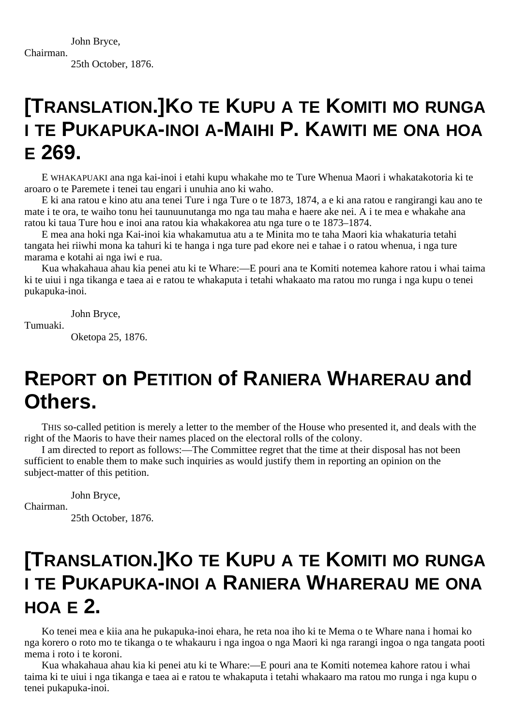John Bryce, Chairman. 25th October, 1876.

#### **[TRANSLATION.]KO TE KUPU A TE KOMITI MO RUNGA I TE PUKAPUKA-INOI A-MAIHI P. KAWITI ME ONA HOA E 269.**

E WHAKAPUAKI ana nga kai-inoi i etahi kupu whakahe mo te Ture Whenua Maori i whakatakotoria ki te aroaro o te Paremete i tenei tau engari i unuhia ano ki waho.

E ki ana ratou e kino atu ana tenei Ture i nga Ture o te 1873, 1874, a e ki ana ratou e rangirangi kau ano te mate i te ora, te waiho tonu hei taunuunutanga mo nga tau maha e haere ake nei. A i te mea e whakahe ana ratou ki taua Ture hou e inoi ana ratou kia whakakorea atu nga ture o te 1873–1874.

E mea ana hoki nga Kai-inoi kia whakamutua atu a te Minita mo te taha Maori kia whakaturia tetahi tangata hei riiwhi mona ka tahuri ki te hanga i nga ture pad ekore nei e tahae i o ratou whenua, i nga ture marama e kotahi ai nga iwi e rua.

Kua whakahaua ahau kia penei atu ki te Whare:—E pouri ana te Komiti notemea kahore ratou i whai taima ki te uiui i nga tikanga e taea ai e ratou te whakaputa i tetahi whakaato ma ratou mo runga i nga kupu o tenei pukapuka-inoi.

John Bryce,

Tumuaki.

Oketopa 25, 1876.

## **REPORT on PETITION of RANIERA WHARERAU and Others.**

THIS so-called petition is merely a letter to the member of the House who presented it, and deals with the right of the Maoris to have their names placed on the electoral rolls of the colony.

I am directed to report as follows:—The Committee regret that the time at their disposal has not been sufficient to enable them to make such inquiries as would justify them in reporting an opinion on the subject-matter of this petition.

John Bryce,

Chairman.

25th October, 1876.

# **[TRANSLATION.]KO TE KUPU A TE KOMITI MO RUNGA I TE PUKAPUKA-INOI A RANIERA WHARERAU ME ONA HOA E 2.**

Ko tenei mea e kiia ana he pukapuka-inoi ehara, he reta noa iho ki te Mema o te Whare nana i homai ko nga korero o roto mo te tikanga o te whakauru i nga ingoa o nga Maori ki nga rarangi ingoa o nga tangata pooti mema i roto i te koroni.

Kua whakahaua ahau kia ki penei atu ki te Whare:—E pouri ana te Komiti notemea kahore ratou i whai taima ki te uiui i nga tikanga e taea ai e ratou te whakaputa i tetahi whakaaro ma ratou mo runga i nga kupu o tenei pukapuka-inoi.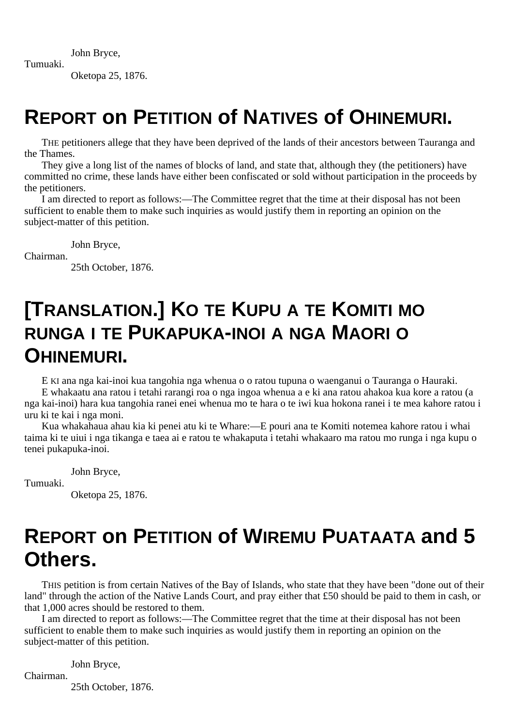John Bryce,

Tumuaki.

Oketopa 25, 1876.

#### **REPORT on PETITION of NATIVES of OHINEMURI.**

THE petitioners allege that they have been deprived of the lands of their ancestors between Tauranga and the Thames.

They give a long list of the names of blocks of land, and state that, although they (the petitioners) have committed no crime, these lands have either been confiscated or sold without participation in the proceeds by the petitioners.

I am directed to report as follows:—The Committee regret that the time at their disposal has not been sufficient to enable them to make such inquiries as would justify them in reporting an opinion on the subject-matter of this petition.

John Bryce,

Chairman.

25th October, 1876.

#### **[TRANSLATION.] KO TE KUPU A TE KOMITI MO RUNGA I TE PUKAPUKA-INOI A NGA MAORI O OHINEMURI.**

E KI ana nga kai-inoi kua tangohia nga whenua o o ratou tupuna o waenganui o Tauranga o Hauraki.

E whakaatu ana ratou i tetahi rarangi roa o nga ingoa whenua a e ki ana ratou ahakoa kua kore a ratou (a nga kai-inoi) hara kua tangohia ranei enei whenua mo te hara o te iwi kua hokona ranei i te mea kahore ratou i uru ki te kai i nga moni.

Kua whakahaua ahau kia ki penei atu ki te Whare:—E pouri ana te Komiti notemea kahore ratou i whai taima ki te uiui i nga tikanga e taea ai e ratou te whakaputa i tetahi whakaaro ma ratou mo runga i nga kupu o tenei pukapuka-inoi.

John Bryce,

Tumuaki.

Oketopa 25, 1876.

## **REPORT on PETITION of WIREMU PUATAATA and 5 Others.**

THIS petition is from certain Natives of the Bay of Islands, who state that they have been "done out of their land" through the action of the Native Lands Court, and pray either that £50 should be paid to them in cash, or that 1,000 acres should be restored to them.

I am directed to report as follows:—The Committee regret that the time at their disposal has not been sufficient to enable them to make such inquiries as would justify them in reporting an opinion on the subject-matter of this petition.

John Bryce, Chairman. 25th October, 1876.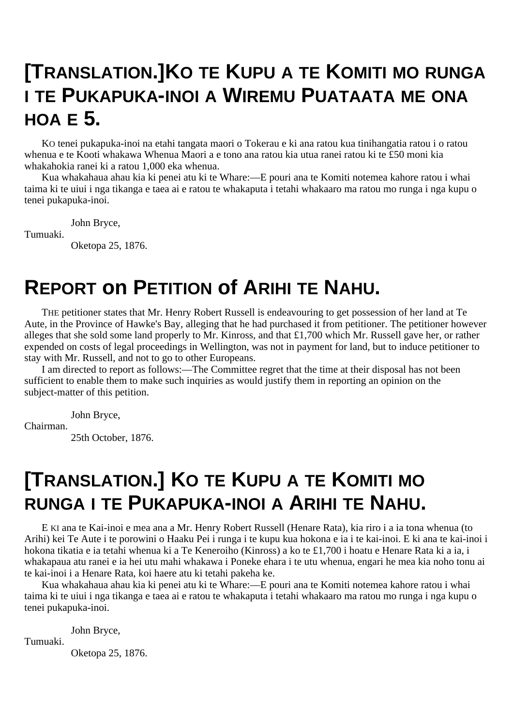## **[TRANSLATION.]KO TE KUPU A TE KOMITI MO RUNGA I TE PUKAPUKA-INOI A WIREMU PUATAATA ME ONA HOA E 5.**

KO tenei pukapuka-inoi na etahi tangata maori o Tokerau e ki ana ratou kua tinihangatia ratou i o ratou whenua e te Kooti whakawa Whenua Maori a e tono ana ratou kia utua ranei ratou ki te £50 moni kia whakahokia ranei ki a ratou 1,000 eka whenua.

Kua whakahaua ahau kia ki penei atu ki te Whare:—E pouri ana te Komiti notemea kahore ratou i whai taima ki te uiui i nga tikanga e taea ai e ratou te whakaputa i tetahi whakaaro ma ratou mo runga i nga kupu o tenei pukapuka-inoi.

John Bryce,

Tumuaki.

Oketopa 25, 1876.

# **REPORT on PETITION of ARIHI TE NAHU.**

THE petitioner states that Mr. Henry Robert Russell is endeavouring to get possession of her land at Te Aute, in the Province of Hawke's Bay, alleging that he had purchased it from petitioner. The petitioner however alleges that she sold some land properly to Mr. Kinross, and that £1,700 which Mr. Russell gave her, or rather expended on costs of legal proceedings in Wellington, was not in payment for land, but to induce petitioner to stay with Mr. Russell, and not to go to other Europeans.

I am directed to report as follows:—The Committee regret that the time at their disposal has not been sufficient to enable them to make such inquiries as would justify them in reporting an opinion on the subject-matter of this petition.

John Bryce, Chairman.

25th October, 1876.

# **[TRANSLATION.] KO TE KUPU A TE KOMITI MO RUNGA I TE PUKAPUKA-INOI A ARIHI TE NAHU.**

E KI ana te Kai-inoi e mea ana a Mr. Henry Robert Russell (Henare Rata), kia riro i a ia tona whenua (to Arihi) kei Te Aute i te porowini o Haaku Pei i runga i te kupu kua hokona e ia i te kai-inoi. E ki ana te kai-inoi i hokona tikatia e ia tetahi whenua ki a Te Keneroiho (Kinross) a ko te £1,700 i hoatu e Henare Rata ki a ia, i whakapaua atu ranei e ia hei utu mahi whakawa i Poneke ehara i te utu whenua, engari he mea kia noho tonu ai te kai-inoi i a Henare Rata, koi haere atu ki tetahi pakeha ke.

Kua whakahaua ahau kia ki penei atu ki te Whare:—E pouri ana te Komiti notemea kahore ratou i whai taima ki te uiui i nga tikanga e taea ai e ratou te whakaputa i tetahi whakaaro ma ratou mo runga i nga kupu o tenei pukapuka-inoi.

John Bryce,

Tumuaki.

Oketopa 25, 1876.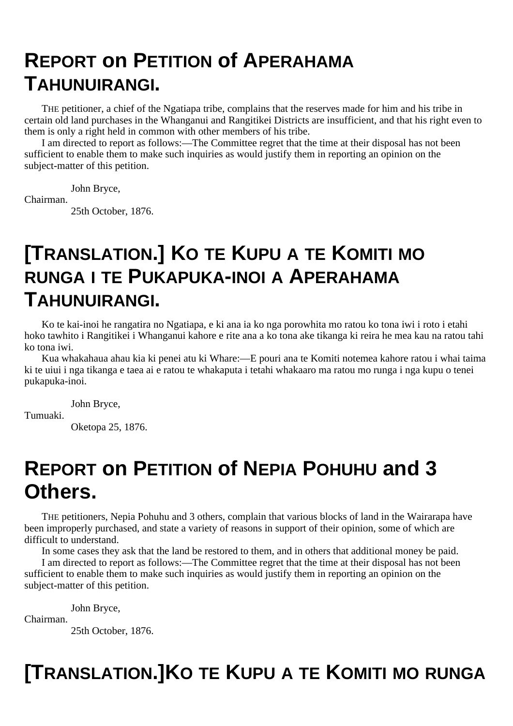# **REPORT on PETITION of APERAHAMA TAHUNUIRANGI.**

THE petitioner, a chief of the Ngatiapa tribe, complains that the reserves made for him and his tribe in certain old land purchases in the Whanganui and Rangitikei Districts are insufficient, and that his right even to them is only a right held in common with other members of his tribe.

I am directed to report as follows:—The Committee regret that the time at their disposal has not been sufficient to enable them to make such inquiries as would justify them in reporting an opinion on the subject-matter of this petition.

John Bryce, Chairman. 25th October, 1876.

# **[TRANSLATION.] KO TE KUPU A TE KOMITI MO RUNGA I TE PUKAPUKA-INOI A APERAHAMA TAHUNUIRANGI.**

Ko te kai-inoi he rangatira no Ngatiapa, e ki ana ia ko nga porowhita mo ratou ko tona iwi i roto i etahi hoko tawhito i Rangitikei i Whanganui kahore e rite ana a ko tona ake tikanga ki reira he mea kau na ratou tahi ko tona iwi.

Kua whakahaua ahau kia ki penei atu ki Whare:—E pouri ana te Komiti notemea kahore ratou i whai taima ki te uiui i nga tikanga e taea ai e ratou te whakaputa i tetahi whakaaro ma ratou mo runga i nga kupu o tenei pukapuka-inoi.

John Bryce,

Tumuaki.

Oketopa 25, 1876.

# **REPORT on PETITION of NEPIA POHUHU and 3 Others.**

THE petitioners, Nepia Pohuhu and 3 others, complain that various blocks of land in the Wairarapa have been improperly purchased, and state a variety of reasons in support of their opinion, some of which are difficult to understand.

In some cases they ask that the land be restored to them, and in others that additional money be paid.

I am directed to report as follows:—The Committee regret that the time at their disposal has not been sufficient to enable them to make such inquiries as would justify them in reporting an opinion on the subject-matter of this petition.

John Bryce,

Chairman.

25th October, 1876.

# **[TRANSLATION.]KO TE KUPU A TE KOMITI MO RUNGA**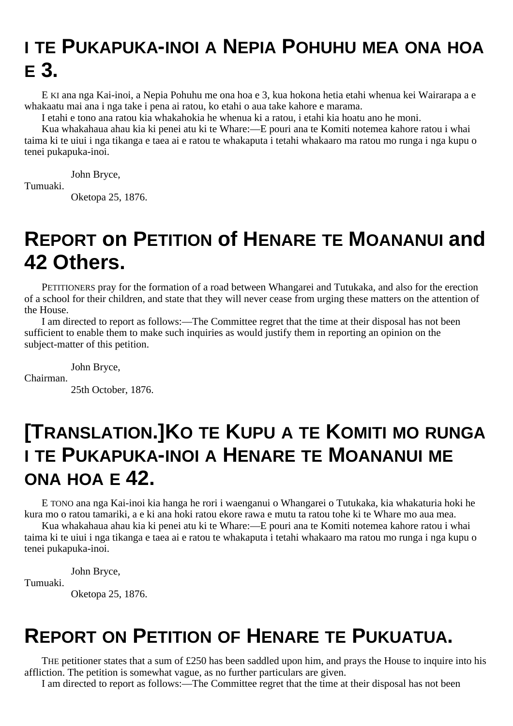## **I TE PUKAPUKA-INOI A NEPIA POHUHU MEA ONA HOA E 3.**

E KI ana nga Kai-inoi, a Nepia Pohuhu me ona hoa e 3, kua hokona hetia etahi whenua kei Wairarapa a e whakaatu mai ana i nga take i pena ai ratou, ko etahi o aua take kahore e marama.

I etahi e tono ana ratou kia whakahokia he whenua ki a ratou, i etahi kia hoatu ano he moni.

Kua whakahaua ahau kia ki penei atu ki te Whare:—E pouri ana te Komiti notemea kahore ratou i whai taima ki te uiui i nga tikanga e taea ai e ratou te whakaputa i tetahi whakaaro ma ratou mo runga i nga kupu o tenei pukapuka-inoi.

John Bryce,

Tumuaki.

Oketopa 25, 1876.

## **REPORT on PETITION of HENARE TE MOANANUI and 42 Others.**

PETITIONERS pray for the formation of a road between Whangarei and Tutukaka, and also for the erection of a school for their children, and state that they will never cease from urging these matters on the attention of the House.

I am directed to report as follows:—The Committee regret that the time at their disposal has not been sufficient to enable them to make such inquiries as would justify them in reporting an opinion on the subject-matter of this petition.

John Bryce, Chairman. 25th October, 1876.

# **[TRANSLATION.]KO TE KUPU A TE KOMITI MO RUNGA I TE PUKAPUKA-INOI A HENARE TE MOANANUI ME ONA HOA E 42.**

E TONO ana nga Kai-inoi kia hanga he rori i waenganui o Whangarei o Tutukaka, kia whakaturia hoki he kura mo o ratou tamariki, a e ki ana hoki ratou ekore rawa e mutu ta ratou tohe ki te Whare mo aua mea.

Kua whakahaua ahau kia ki penei atu ki te Whare:—E pouri ana te Komiti notemea kahore ratou i whai taima ki te uiui i nga tikanga e taea ai e ratou te whakaputa i tetahi whakaaro ma ratou mo runga i nga kupu o tenei pukapuka-inoi.

John Bryce,

Tumuaki.

Oketopa 25, 1876.

#### **REPORT ON PETITION OF HENARE TE PUKUATUA.**

THE petitioner states that a sum of £250 has been saddled upon him, and prays the House to inquire into his affliction. The petition is somewhat vague, as no further particulars are given.

I am directed to report as follows:—The Committee regret that the time at their disposal has not been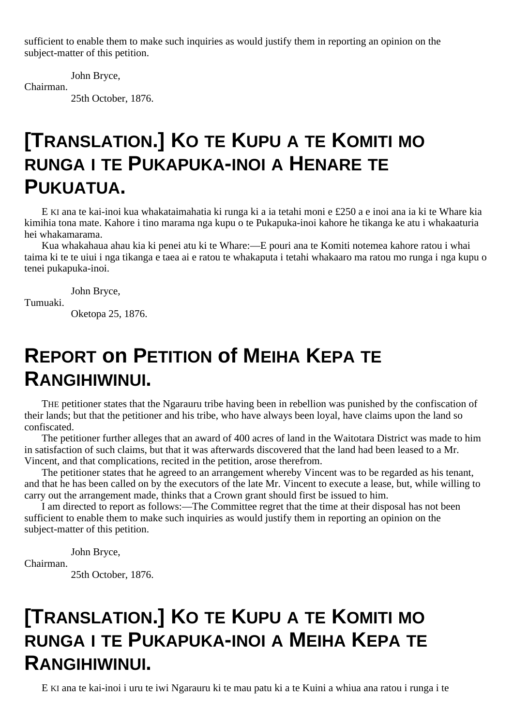sufficient to enable them to make such inquiries as would justify them in reporting an opinion on the subject-matter of this petition.

John Bryce,

Chairman.

25th October, 1876.

## **[TRANSLATION.] KO TE KUPU A TE KOMITI MO RUNGA I TE PUKAPUKA-INOI A HENARE TE PUKUATUA.**

E KI ana te kai-inoi kua whakataimahatia ki runga ki a ia tetahi moni e £250 a e inoi ana ia ki te Whare kia kimihia tona mate. Kahore i tino marama nga kupu o te Pukapuka-inoi kahore he tikanga ke atu i whakaaturia hei whakamarama.

Kua whakahaua ahau kia ki penei atu ki te Whare:—E pouri ana te Komiti notemea kahore ratou i whai taima ki te te uiui i nga tikanga e taea ai e ratou te whakaputa i tetahi whakaaro ma ratou mo runga i nga kupu o tenei pukapuka-inoi.

John Bryce,

Tumuaki.

Oketopa 25, 1876.

## **REPORT on PETITION of MEIHA KEPA TE RANGIHIWINUI.**

THE petitioner states that the Ngarauru tribe having been in rebellion was punished by the confiscation of their lands; but that the petitioner and his tribe, who have always been loyal, have claims upon the land so confiscated.

The petitioner further alleges that an award of 400 acres of land in the Waitotara District was made to him in satisfaction of such claims, but that it was afterwards discovered that the land had been leased to a Mr. Vincent, and that complications, recited in the petition, arose therefrom.

The petitioner states that he agreed to an arrangement whereby Vincent was to be regarded as his tenant, and that he has been called on by the executors of the late Mr. Vincent to execute a lease, but, while willing to carry out the arrangement made, thinks that a Crown grant should first be issued to him.

I am directed to report as follows:—The Committee regret that the time at their disposal has not been sufficient to enable them to make such inquiries as would justify them in reporting an opinion on the subject-matter of this petition.

John Bryce,

Chairman.

25th October, 1876.

## **[TRANSLATION.] KO TE KUPU A TE KOMITI MO RUNGA I TE PUKAPUKA-INOI A MEIHA KEPA TE RANGIHIWINUI.**

E KI ana te kai-inoi i uru te iwi Ngarauru ki te mau patu ki a te Kuini a whiua ana ratou i runga i te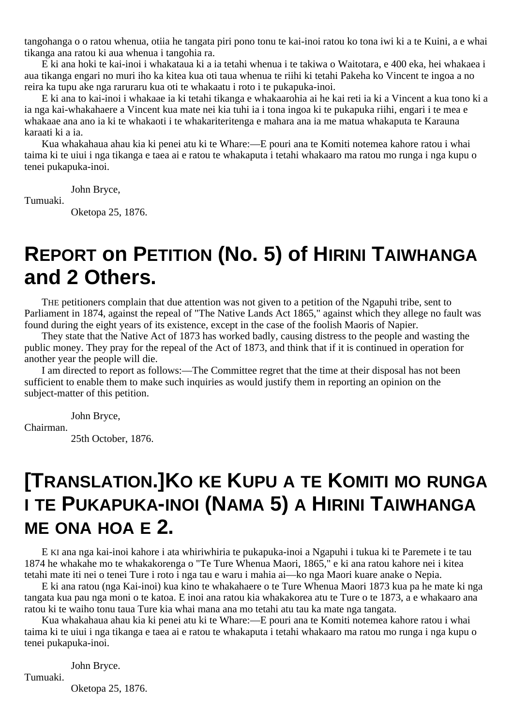tangohanga o o ratou whenua, otiia he tangata piri pono tonu te kai-inoi ratou ko tona iwi ki a te Kuini, a e whai tikanga ana ratou ki aua whenua i tangohia ra.

E ki ana hoki te kai-inoi i whakataua ki a ia tetahi whenua i te takiwa o Waitotara, e 400 eka, hei whakaea i aua tikanga engari no muri iho ka kitea kua oti taua whenua te riihi ki tetahi Pakeha ko Vincent te ingoa a no reira ka tupu ake nga raruraru kua oti te whakaatu i roto i te pukapuka-inoi.

E ki ana to kai-inoi i whakaae ia ki tetahi tikanga e whakaarohia ai he kai reti ia ki a Vincent a kua tono ki a ia nga kai-whakahaere a Vincent kua mate nei kia tuhi ia i tona ingoa ki te pukapuka riihi, engari i te mea e whakaae ana ano ia ki te whakaoti i te whakariteritenga e mahara ana ia me matua whakaputa te Karauna karaati ki a ia.

Kua whakahaua ahau kia ki penei atu ki te Whare:—E pouri ana te Komiti notemea kahore ratou i whai taima ki te uiui i nga tikanga e taea ai e ratou te whakaputa i tetahi whakaaro ma ratou mo runga i nga kupu o tenei pukapuka-inoi.

John Bryce,

Tumuaki.

Oketopa 25, 1876.

## **REPORT on PETITION (No. 5) of HIRINI TAIWHANGA and 2 Others.**

THE petitioners complain that due attention was not given to a petition of the Ngapuhi tribe, sent to Parliament in 1874, against the repeal of "The Native Lands Act 1865," against which they allege no fault was found during the eight years of its existence, except in the case of the foolish Maoris of Napier.

They state that the Native Act of 1873 has worked badly, causing distress to the people and wasting the public money. They pray for the repeal of the Act of 1873, and think that if it is continued in operation for another year the people will die.

I am directed to report as follows:—The Committee regret that the time at their disposal has not been sufficient to enable them to make such inquiries as would justify them in reporting an opinion on the subject-matter of this petition.

John Bryce, Chairman. 25th October, 1876.

## **[TRANSLATION.]KO KE KUPU A TE KOMITI MO RUNGA I TE PUKAPUKA-INOI (NAMA 5) A HIRINI TAIWHANGA ME ONA HOA E 2.**

E KI ana nga kai-inoi kahore i ata whiriwhiria te pukapuka-inoi a Ngapuhi i tukua ki te Paremete i te tau 1874 he whakahe mo te whakakorenga o "Te Ture Whenua Maori, 1865," e ki ana ratou kahore nei i kitea tetahi mate iti nei o tenei Ture i roto i nga tau e waru i mahia ai—ko nga Maori kuare anake o Nepia.

E ki ana ratou (nga Kai-inoi) kua kino te whakahaere o te Ture Whenua Maori 1873 kua pa he mate ki nga tangata kua pau nga moni o te katoa. E inoi ana ratou kia whakakorea atu te Ture o te 1873, a e whakaaro ana ratou ki te waiho tonu taua Ture kia whai mana ana mo tetahi atu tau ka mate nga tangata.

Kua whakahaua ahau kia ki penei atu ki te Whare:—E pouri ana te Komiti notemea kahore ratou i whai taima ki te uiui i nga tikanga e taea ai e ratou te whakaputa i tetahi whakaaro ma ratou mo runga i nga kupu o tenei pukapuka-inoi.

John Bryce.

Tumuaki.

Oketopa 25, 1876.